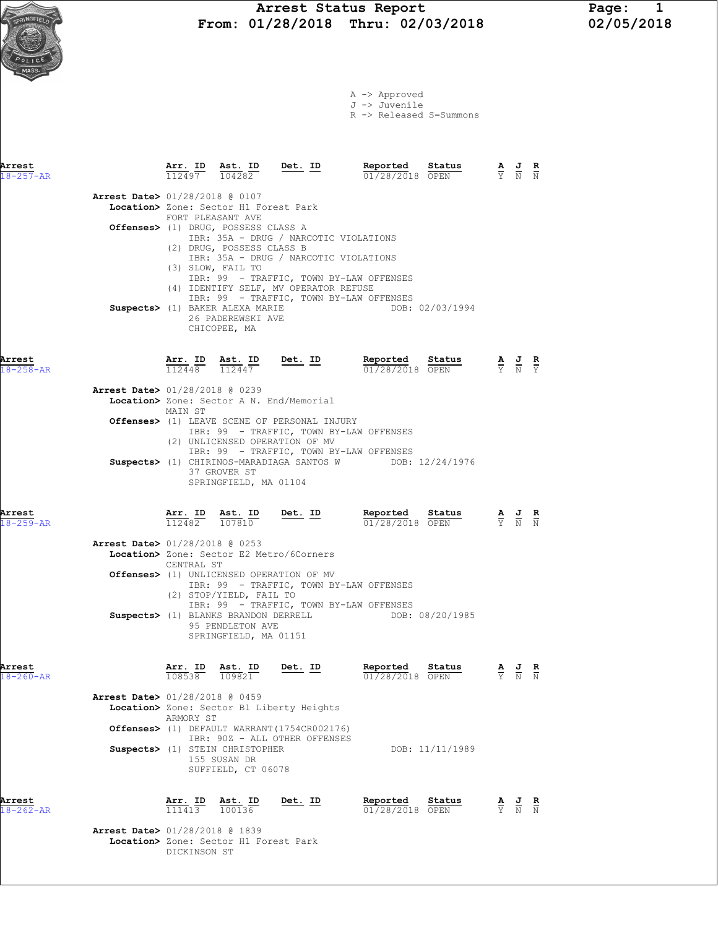A -> Approved J -> Juvenile

R -> Released S=Summons

| Arrest<br>$18 - 257 - AR$ |                                          | Arr. ID<br>112497            | Ast. ID<br>104282                                                                                                                                                                                                           | Det. ID                                                                                                                                        | Reported<br>Status<br>01/28/2018 OPEN                                                                                                           |                                 |                                                                                                 | ĸ |
|---------------------------|------------------------------------------|------------------------------|-----------------------------------------------------------------------------------------------------------------------------------------------------------------------------------------------------------------------------|------------------------------------------------------------------------------------------------------------------------------------------------|-------------------------------------------------------------------------------------------------------------------------------------------------|---------------------------------|-------------------------------------------------------------------------------------------------|---|
|                           | Arrest Date> 01/28/2018 @ 0107           |                              | Location> Zone: Sector H1 Forest Park<br>FORT PLEASANT AVE<br>Offenses> (1) DRUG, POSSESS CLASS A<br>(2) DRUG, POSSESS CLASS B<br>(3) SLOW, FAIL TO<br>Suspects> (1) BAKER ALEXA MARIE<br>26 PADEREWSKI AVE<br>CHICOPEE, MA | IBR: 35A - DRUG / NARCOTIC VIOLATIONS<br>IBR: 35A - DRUG / NARCOTIC VIOLATIONS<br>(4) IDENTIFY SELF, MV OPERATOR REFUSE                        | IBR: 99 - TRAFFIC, TOWN BY-LAW OFFENSES<br>IBR: 99 - TRAFFIC, TOWN BY-LAW OFFENSES<br>DOB: 02/03/1994                                           |                                 |                                                                                                 |   |
| Arrest<br>$18 - 258 - AR$ |                                          |                              | $\frac{\texttt{Arr.}}{112448}$ $\frac{\texttt{lab}}{112447}$                                                                                                                                                                | <u>Det.</u> ID                                                                                                                                 | Reported<br>Status<br>01/28/2018 OPEN                                                                                                           |                                 | $\frac{\mathbf{A}}{\mathbf{Y}}$ $\frac{\mathbf{J}}{\mathbf{N}}$ $\frac{\mathbf{R}}{\mathbf{Y}}$ |   |
|                           | <b>Arrest Date&gt;</b> 01/28/2018 @ 0239 | MAIN ST                      | 37 GROVER ST<br>SPRINGFIELD, MA 01104                                                                                                                                                                                       | Location> Zone: Sector A N. End/Memorial<br>Offenses> (1) LEAVE SCENE OF PERSONAL INJURY<br>(2) UNLICENSED OPERATION OF MV                     | IBR: 99 - TRAFFIC, TOWN BY-LAW OFFENSES<br>IBR: 99 - TRAFFIC, TOWN BY-LAW OFFENSES<br>Suspects> (1) CHIRINOS-MARADIAGA SANTOS W DOB: 12/24/1976 |                                 |                                                                                                 |   |
| Arrest<br>$18 - 259 - AR$ |                                          | 112482 107810                | Arr. ID Ast. ID                                                                                                                                                                                                             | Det. ID                                                                                                                                        | Reported<br>Status<br>01/28/2018 OPEN                                                                                                           |                                 | $\frac{\mathbf{A}}{\mathbf{Y}}$ $\frac{\mathbf{J}}{\mathbf{N}}$ $\frac{\mathbf{R}}{\mathbf{N}}$ |   |
|                           | <b>Arrest Date&gt; 01/28/2018 @ 0253</b> | CENTRAL ST                   | (2) STOP/YIELD, FAIL TO<br>95 PENDLETON AVE<br>SPRINGFIELD, MA 01151                                                                                                                                                        | Location> Zone: Sector E2 Metro/6Corners<br>Offenses> (1) UNLICENSED OPERATION OF MV                                                           | IBR: 99 - TRAFFIC, TOWN BY-LAW OFFENSES<br>IBR: 99 - TRAFFIC, TOWN BY-LAW OFFENSES<br>Suspects> (1) BLANKS BRANDON DERRELL DOB: 08/20/1985      |                                 |                                                                                                 |   |
| Arrest<br>$18 - 260 - AR$ | Arrest Date> 01/28/2018 @ 0459           | 108538<br>ARMORY ST          | Ast. ID<br>109821<br>Suspects> (1) STEIN CHRISTOPHER<br>155 SUSAN DR<br>SUFFIELD, CT 06078                                                                                                                                  | Det. ID<br>Location> Zone: Sector B1 Liberty Heights<br><b>Offenses&gt;</b> (1) DEFAULT WARRANT(1754CR002176)<br>IBR: 90Z - ALL OTHER OFFENSES | Reported<br>Status<br>01/28/2018 OPEN<br>DOB: 11/11/1989                                                                                        |                                 | $\frac{\mathbf{A}}{\mathbf{Y}}$ $\frac{\mathbf{J}}{\mathbf{N}}$                                 |   |
| Arrest<br>$18 - 262 - AR$ |                                          | $\frac{\text{Arr.}}{111413}$ | Ast. ID<br>100136                                                                                                                                                                                                           | Det. ID                                                                                                                                        | Reported<br>Status<br>01/28/2018 OPEN                                                                                                           | $\frac{\mathbf{A}}{\mathbf{Y}}$ | $\frac{J}{N}$                                                                                   |   |
|                           | Arrest Date> 01/28/2018 @ 1839           |                              | Location> Zone: Sector H1 Forest Park                                                                                                                                                                                       |                                                                                                                                                |                                                                                                                                                 |                                 |                                                                                                 |   |

DICKINSON ST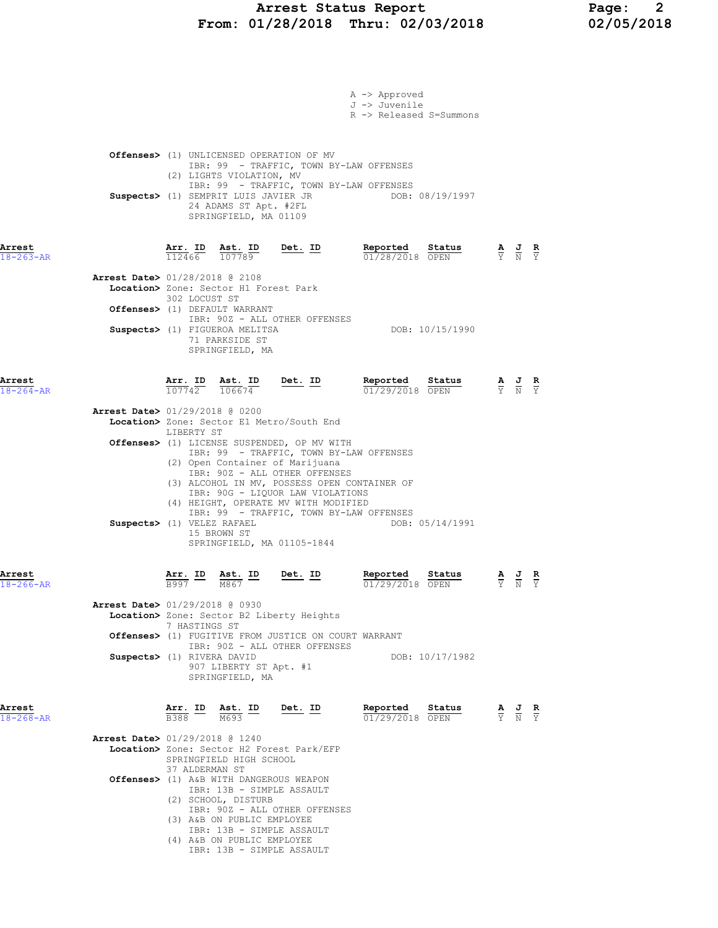# Arrest Status Report 1994 Page: 2<br>11/28/2018 Thru: 02/03/2018 102/05/2018 From:  $01/28/2018$  Thru:  $02/03/2018$

| A -> Approved<br>J -> Juvenile<br>R -> Released S=Summons<br>Offenses> (1) UNLICENSED OPERATION OF MV<br>IBR: 99 - TRAFFIC, TOWN BY-LAW OFFENSES<br>(2) LIGHTS VIOLATION, MV<br>IBR: 99 - TRAFFIC, TOWN BY-LAW OFFENSES<br>Suspects> (1) SEMPRIT LUIS JAVIER JR<br>DOB: 08/19/1997<br>24 ADAMS ST Apt. #2FL<br>SPRINGFIELD, MA 01109<br>$\frac{\texttt{Arr. ID}}{112466}$ $\frac{\texttt{ Ast. ID}}{107789}$ Det. ID<br>Reported Status<br>$\frac{\mathbf{A}}{\overline{Y}}$ $\frac{\mathbf{J}}{\overline{N}}$ $\frac{\mathbf{R}}{\overline{Y}}$<br>01/28/2018 OPEN<br><b>Arrest Date&gt;</b> 01/28/2018 @ 2108<br>Location> Zone: Sector H1 Forest Park<br>302 LOCUST ST<br>Offenses> (1) DEFAULT WARRANT<br>IBR: 90Z - ALL OTHER OFFENSES<br>DOB: 10/15/1990<br>Suspects> (1) FIGUEROA MELITSA<br>71 PARKSIDE ST<br>SPRINGFIELD, MA<br>Arr. ID Ast. ID<br><u>Det. ID</u><br>Reported Status<br>$\frac{\mathbf{A}}{\mathbf{Y}}$ $\frac{\mathbf{J}}{\mathbf{N}}$ $\frac{\mathbf{R}}{\mathbf{Y}}$<br>$\overline{107742}$ $\overline{106674}$<br>01/29/2018 OPEN<br><b>Arrest Date&gt; 01/29/2018 @ 0200</b><br>Location> Zone: Sector E1 Metro/South End<br>LIBERTY ST<br>Offenses> (1) LICENSE SUSPENDED, OP MV WITH<br>IBR: 99 - TRAFFIC, TOWN BY-LAW OFFENSES<br>(2) Open Container of Marijuana<br>IBR: 90Z - ALL OTHER OFFENSES<br>(3) ALCOHOL IN MV, POSSESS OPEN CONTAINER OF<br>IBR: 90G - LIQUOR LAW VIOLATIONS<br>(4) HEIGHT, OPERATE MV WITH MODIFIED<br>IBR: 99 - TRAFFIC, TOWN BY-LAW OFFENSES<br>Suspects> (1) VELEZ RAFAEL<br>DOB: 05/14/1991<br>15 BROWN ST<br>SPRINGFIELD, MA 01105-1844<br>Reported<br>Arr. ID<br>Ast. ID<br>Det. ID<br>Status<br>$\frac{\mathbf{A}}{\mathbf{Y}}$ $\frac{\mathbf{J}}{\mathbf{N}}$<br>B997<br>01/29/2018 OPEN<br>M867 |                             |
|-----------------------------------------------------------------------------------------------------------------------------------------------------------------------------------------------------------------------------------------------------------------------------------------------------------------------------------------------------------------------------------------------------------------------------------------------------------------------------------------------------------------------------------------------------------------------------------------------------------------------------------------------------------------------------------------------------------------------------------------------------------------------------------------------------------------------------------------------------------------------------------------------------------------------------------------------------------------------------------------------------------------------------------------------------------------------------------------------------------------------------------------------------------------------------------------------------------------------------------------------------------------------------------------------------------------------------------------------------------------------------------------------------------------------------------------------------------------------------------------------------------------------------------------------------------------------------------------------------------------------------------------------------------------------------------------------------------------------------------------------------------------------|-----------------------------|
| Arrest<br>$18 - 263 - AR$<br>Arrest<br>$18 - 264 - AR$<br>Arrest<br>$18 - 266 - AR$                                                                                                                                                                                                                                                                                                                                                                                                                                                                                                                                                                                                                                                                                                                                                                                                                                                                                                                                                                                                                                                                                                                                                                                                                                                                                                                                                                                                                                                                                                                                                                                                                                                                                   |                             |
|                                                                                                                                                                                                                                                                                                                                                                                                                                                                                                                                                                                                                                                                                                                                                                                                                                                                                                                                                                                                                                                                                                                                                                                                                                                                                                                                                                                                                                                                                                                                                                                                                                                                                                                                                                       |                             |
|                                                                                                                                                                                                                                                                                                                                                                                                                                                                                                                                                                                                                                                                                                                                                                                                                                                                                                                                                                                                                                                                                                                                                                                                                                                                                                                                                                                                                                                                                                                                                                                                                                                                                                                                                                       |                             |
|                                                                                                                                                                                                                                                                                                                                                                                                                                                                                                                                                                                                                                                                                                                                                                                                                                                                                                                                                                                                                                                                                                                                                                                                                                                                                                                                                                                                                                                                                                                                                                                                                                                                                                                                                                       |                             |
|                                                                                                                                                                                                                                                                                                                                                                                                                                                                                                                                                                                                                                                                                                                                                                                                                                                                                                                                                                                                                                                                                                                                                                                                                                                                                                                                                                                                                                                                                                                                                                                                                                                                                                                                                                       |                             |
|                                                                                                                                                                                                                                                                                                                                                                                                                                                                                                                                                                                                                                                                                                                                                                                                                                                                                                                                                                                                                                                                                                                                                                                                                                                                                                                                                                                                                                                                                                                                                                                                                                                                                                                                                                       |                             |
|                                                                                                                                                                                                                                                                                                                                                                                                                                                                                                                                                                                                                                                                                                                                                                                                                                                                                                                                                                                                                                                                                                                                                                                                                                                                                                                                                                                                                                                                                                                                                                                                                                                                                                                                                                       |                             |
|                                                                                                                                                                                                                                                                                                                                                                                                                                                                                                                                                                                                                                                                                                                                                                                                                                                                                                                                                                                                                                                                                                                                                                                                                                                                                                                                                                                                                                                                                                                                                                                                                                                                                                                                                                       |                             |
|                                                                                                                                                                                                                                                                                                                                                                                                                                                                                                                                                                                                                                                                                                                                                                                                                                                                                                                                                                                                                                                                                                                                                                                                                                                                                                                                                                                                                                                                                                                                                                                                                                                                                                                                                                       |                             |
|                                                                                                                                                                                                                                                                                                                                                                                                                                                                                                                                                                                                                                                                                                                                                                                                                                                                                                                                                                                                                                                                                                                                                                                                                                                                                                                                                                                                                                                                                                                                                                                                                                                                                                                                                                       |                             |
|                                                                                                                                                                                                                                                                                                                                                                                                                                                                                                                                                                                                                                                                                                                                                                                                                                                                                                                                                                                                                                                                                                                                                                                                                                                                                                                                                                                                                                                                                                                                                                                                                                                                                                                                                                       |                             |
|                                                                                                                                                                                                                                                                                                                                                                                                                                                                                                                                                                                                                                                                                                                                                                                                                                                                                                                                                                                                                                                                                                                                                                                                                                                                                                                                                                                                                                                                                                                                                                                                                                                                                                                                                                       |                             |
|                                                                                                                                                                                                                                                                                                                                                                                                                                                                                                                                                                                                                                                                                                                                                                                                                                                                                                                                                                                                                                                                                                                                                                                                                                                                                                                                                                                                                                                                                                                                                                                                                                                                                                                                                                       |                             |
|                                                                                                                                                                                                                                                                                                                                                                                                                                                                                                                                                                                                                                                                                                                                                                                                                                                                                                                                                                                                                                                                                                                                                                                                                                                                                                                                                                                                                                                                                                                                                                                                                                                                                                                                                                       |                             |
|                                                                                                                                                                                                                                                                                                                                                                                                                                                                                                                                                                                                                                                                                                                                                                                                                                                                                                                                                                                                                                                                                                                                                                                                                                                                                                                                                                                                                                                                                                                                                                                                                                                                                                                                                                       |                             |
|                                                                                                                                                                                                                                                                                                                                                                                                                                                                                                                                                                                                                                                                                                                                                                                                                                                                                                                                                                                                                                                                                                                                                                                                                                                                                                                                                                                                                                                                                                                                                                                                                                                                                                                                                                       |                             |
|                                                                                                                                                                                                                                                                                                                                                                                                                                                                                                                                                                                                                                                                                                                                                                                                                                                                                                                                                                                                                                                                                                                                                                                                                                                                                                                                                                                                                                                                                                                                                                                                                                                                                                                                                                       |                             |
|                                                                                                                                                                                                                                                                                                                                                                                                                                                                                                                                                                                                                                                                                                                                                                                                                                                                                                                                                                                                                                                                                                                                                                                                                                                                                                                                                                                                                                                                                                                                                                                                                                                                                                                                                                       |                             |
|                                                                                                                                                                                                                                                                                                                                                                                                                                                                                                                                                                                                                                                                                                                                                                                                                                                                                                                                                                                                                                                                                                                                                                                                                                                                                                                                                                                                                                                                                                                                                                                                                                                                                                                                                                       | $rac{\mathbf{R}}{\Upsilon}$ |
| <b>Arrest Date&gt;</b> 01/29/2018 @ 0930<br>Location> Zone: Sector B2 Liberty Heights                                                                                                                                                                                                                                                                                                                                                                                                                                                                                                                                                                                                                                                                                                                                                                                                                                                                                                                                                                                                                                                                                                                                                                                                                                                                                                                                                                                                                                                                                                                                                                                                                                                                                 |                             |
| 7 HASTINGS ST<br>Offenses> (1) FUGITIVE FROM JUSTICE ON COURT WARRANT                                                                                                                                                                                                                                                                                                                                                                                                                                                                                                                                                                                                                                                                                                                                                                                                                                                                                                                                                                                                                                                                                                                                                                                                                                                                                                                                                                                                                                                                                                                                                                                                                                                                                                 |                             |
| IBR: 90Z - ALL OTHER OFFENSES<br>Suspects> (1) RIVERA DAVID<br>DOB: 10/17/1982<br>907 LIBERTY ST Apt. #1                                                                                                                                                                                                                                                                                                                                                                                                                                                                                                                                                                                                                                                                                                                                                                                                                                                                                                                                                                                                                                                                                                                                                                                                                                                                                                                                                                                                                                                                                                                                                                                                                                                              |                             |
| SPRINGFIELD, MA                                                                                                                                                                                                                                                                                                                                                                                                                                                                                                                                                                                                                                                                                                                                                                                                                                                                                                                                                                                                                                                                                                                                                                                                                                                                                                                                                                                                                                                                                                                                                                                                                                                                                                                                                       |                             |
| Reported<br>Arrest<br>Arr. ID Ast. ID<br>Det. ID<br>Status<br>$\frac{\mathbf{A}}{\mathbf{Y}}$ $\frac{\mathbf{J}}{\mathbf{N}}$ $\frac{\mathbf{R}}{\mathbf{Y}}$<br>$\overline{B}388$<br>$18 - 268 - AR$<br>M693<br>01/29/2018 OPEN                                                                                                                                                                                                                                                                                                                                                                                                                                                                                                                                                                                                                                                                                                                                                                                                                                                                                                                                                                                                                                                                                                                                                                                                                                                                                                                                                                                                                                                                                                                                      |                             |
| <b>Arrest Date&gt; 01/29/2018 @ 1240</b><br>Location> Zone: Sector H2 Forest Park/EFP                                                                                                                                                                                                                                                                                                                                                                                                                                                                                                                                                                                                                                                                                                                                                                                                                                                                                                                                                                                                                                                                                                                                                                                                                                                                                                                                                                                                                                                                                                                                                                                                                                                                                 |                             |
| SPRINGFIELD HIGH SCHOOL<br>37 ALDERMAN ST                                                                                                                                                                                                                                                                                                                                                                                                                                                                                                                                                                                                                                                                                                                                                                                                                                                                                                                                                                                                                                                                                                                                                                                                                                                                                                                                                                                                                                                                                                                                                                                                                                                                                                                             |                             |
| Offenses> (1) A&B WITH DANGEROUS WEAPON<br>IBR: 13B - SIMPLE ASSAULT                                                                                                                                                                                                                                                                                                                                                                                                                                                                                                                                                                                                                                                                                                                                                                                                                                                                                                                                                                                                                                                                                                                                                                                                                                                                                                                                                                                                                                                                                                                                                                                                                                                                                                  |                             |
| (2) SCHOOL, DISTURB<br>IBR: 90Z - ALL OTHER OFFENSES                                                                                                                                                                                                                                                                                                                                                                                                                                                                                                                                                                                                                                                                                                                                                                                                                                                                                                                                                                                                                                                                                                                                                                                                                                                                                                                                                                                                                                                                                                                                                                                                                                                                                                                  |                             |
| (3) A&B ON PUBLIC EMPLOYEE<br>IBR: 13B - SIMPLE ASSAULT<br>(4) A&B ON PUBLIC EMPLOYEE                                                                                                                                                                                                                                                                                                                                                                                                                                                                                                                                                                                                                                                                                                                                                                                                                                                                                                                                                                                                                                                                                                                                                                                                                                                                                                                                                                                                                                                                                                                                                                                                                                                                                 |                             |

IBR: 13B - SIMPLE ASSAULT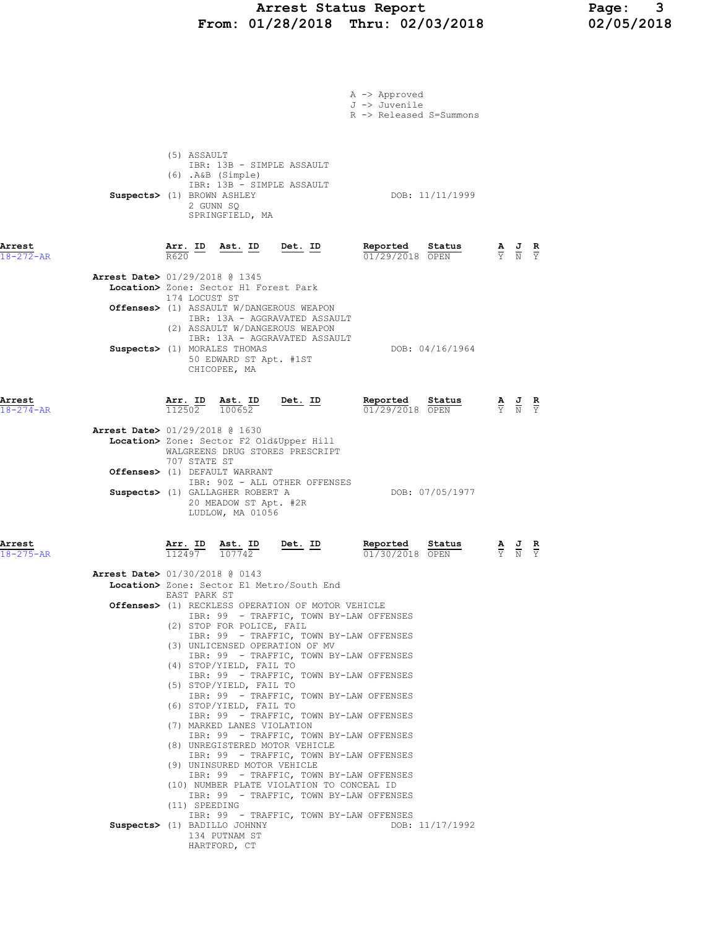# Arrest Status Report Page: 3 From: 01/28/2018 Thru: 02/03/2018 02/05/2018

|                           |                                |                                                                 |                        |                                                                 | A -> Approved                                                                      |                             |                                                                                                 |               |
|---------------------------|--------------------------------|-----------------------------------------------------------------|------------------------|-----------------------------------------------------------------|------------------------------------------------------------------------------------|-----------------------------|-------------------------------------------------------------------------------------------------|---------------|
|                           |                                |                                                                 |                        |                                                                 | J -> Juvenile                                                                      | R -> Released S=Summons     |                                                                                                 |               |
|                           |                                |                                                                 |                        |                                                                 |                                                                                    |                             |                                                                                                 |               |
|                           |                                | (5) ASSAULT                                                     |                        | IBR: 13B - SIMPLE ASSAULT                                       |                                                                                    |                             |                                                                                                 |               |
|                           |                                | $(6)$ . A&B $(Simple)$                                          |                        | IBR: 13B - SIMPLE ASSAULT                                       |                                                                                    |                             |                                                                                                 |               |
|                           |                                | Suspects> (1) BROWN ASHLEY<br>2 GUNN SQ                         |                        |                                                                 |                                                                                    | DOB: 11/11/1999             |                                                                                                 |               |
|                           |                                |                                                                 | SPRINGFIELD, MA        |                                                                 |                                                                                    |                             |                                                                                                 |               |
| Arrest                    |                                | Arr. ID                                                         | Ast. ID                | Det. ID                                                         | Reported                                                                           | Status                      | $\frac{\mathbf{A}}{\mathbf{Y}}$ $\frac{\mathbf{J}}{\mathbf{N}}$                                 | $\frac{R}{Y}$ |
| $18 - 272 - AR$           |                                | R620                                                            |                        |                                                                 |                                                                                    | $01/29/2018$ OPEN           |                                                                                                 |               |
|                           | Arrest Date> 01/29/2018 @ 1345 | Location> Zone: Sector H1 Forest Park                           |                        |                                                                 |                                                                                    |                             |                                                                                                 |               |
|                           |                                | 174 LOCUST ST                                                   |                        | <b>Offenses&gt;</b> (1) ASSAULT W/DANGEROUS WEAPON              |                                                                                    |                             |                                                                                                 |               |
|                           |                                |                                                                 |                        | IBR: 13A - AGGRAVATED ASSAULT<br>(2) ASSAULT W/DANGEROUS WEAPON |                                                                                    |                             |                                                                                                 |               |
|                           |                                | Suspects> (1) MORALES THOMAS                                    |                        | IBR: 13A - AGGRAVATED ASSAULT                                   |                                                                                    | DOB: 04/16/1964             |                                                                                                 |               |
|                           |                                | CHICOPEE, MA                                                    | 50 EDWARD ST Apt. #1ST |                                                                 |                                                                                    |                             |                                                                                                 |               |
|                           |                                |                                                                 |                        |                                                                 |                                                                                    |                             |                                                                                                 |               |
| Arrest<br>$18 - 274 - AR$ |                                | $\frac{\text{Arr. ID}}{112502}$ $\frac{\text{Ast. ID}}{100652}$ |                        | <u>Det. ID</u>                                                  | Reported                                                                           | Status<br>$01/29/2018$ OPEN | $\frac{\mathbf{A}}{\mathbf{Y}}$ $\frac{\mathbf{J}}{\mathbf{N}}$                                 |               |
|                           | Arrest Date> 01/29/2018 @ 1630 |                                                                 |                        | Location> Zone: Sector F2 Old&Upper Hill                        |                                                                                    |                             |                                                                                                 |               |
|                           |                                | 707 STATE ST                                                    |                        | WALGREENS DRUG STORES PRESCRIPT                                 |                                                                                    |                             |                                                                                                 |               |
|                           |                                | Offenses> (1) DEFAULT WARRANT                                   |                        | IBR: 90Z - ALL OTHER OFFENSES                                   |                                                                                    |                             |                                                                                                 |               |
|                           |                                | Suspects> (1) GALLAGHER ROBERT A                                | 20 MEADOW ST Apt. #2R  |                                                                 |                                                                                    | DOB: 07/05/1977             |                                                                                                 |               |
|                           |                                |                                                                 | LUDLOW, MA 01056       |                                                                 |                                                                                    |                             |                                                                                                 |               |
| Arrest                    |                                | Arr. ID                                                         | <u>Ast. ID</u>         | $Det. ID$                                                       | Reported                                                                           | Status                      | $\frac{\mathbf{A}}{\mathbf{Y}}$ $\frac{\mathbf{J}}{\mathbf{N}}$ $\frac{\mathbf{R}}{\mathbf{Y}}$ |               |
| $18 - 275 - AR$           |                                | 112497                                                          | 107742                 |                                                                 |                                                                                    | 01/30/2018 OPEN             |                                                                                                 |               |
|                           | Arrest Date> 01/30/2018 @ 0143 |                                                                 |                        | Location> Zone: Sector E1 Metro/South End                       |                                                                                    |                             |                                                                                                 |               |
|                           |                                | EAST PARK ST                                                    |                        | Offenses> (1) RECKLESS OPERATION OF MOTOR VEHICLE               |                                                                                    |                             |                                                                                                 |               |
|                           |                                | (2) STOP FOR POLICE, FAIL                                       |                        |                                                                 | IBR: 99 - TRAFFIC, TOWN BY-LAW OFFENSES                                            |                             |                                                                                                 |               |
|                           |                                |                                                                 |                        | (3) UNLICENSED OPERATION OF MV                                  | IBR: 99 - TRAFFIC, TOWN BY-LAW OFFENSES<br>IBR: 99 - TRAFFIC, TOWN BY-LAW OFFENSES |                             |                                                                                                 |               |
|                           |                                | (4) STOP/YIELD, FAIL TO                                         |                        |                                                                 | IBR: 99 - TRAFFIC, TOWN BY-LAW OFFENSES                                            |                             |                                                                                                 |               |
|                           |                                | (5) STOP/YIELD, FAIL TO                                         |                        |                                                                 | IBR: 99 - TRAFFIC, TOWN BY-LAW OFFENSES                                            |                             |                                                                                                 |               |
|                           |                                | (6) STOP/YIELD, FAIL TO                                         |                        |                                                                 | IBR: 99 - TRAFFIC, TOWN BY-LAW OFFENSES                                            |                             |                                                                                                 |               |
|                           |                                | (7) MARKED LANES VIOLATION                                      |                        |                                                                 | IBR: 99 - TRAFFIC, TOWN BY-LAW OFFENSES                                            |                             |                                                                                                 |               |
|                           |                                |                                                                 |                        | (8) UNREGISTERED MOTOR VEHICLE                                  | IBR: 99 - TRAFFIC, TOWN BY-LAW OFFENSES                                            |                             |                                                                                                 |               |
|                           |                                | (9) UNINSURED MOTOR VEHICLE                                     |                        |                                                                 | IBR: 99 - TRAFFIC, TOWN BY-LAW OFFENSES                                            |                             |                                                                                                 |               |
|                           |                                |                                                                 |                        | (10) NUMBER PLATE VIOLATION TO CONCEAL ID                       | IBR: 99 - TRAFFIC, TOWN BY-LAW OFFENSES                                            |                             |                                                                                                 |               |
|                           |                                | (11) SPEEDING                                                   |                        |                                                                 | IBR: 99 - TRAFFIC, TOWN BY-LAW OFFENSES                                            |                             |                                                                                                 |               |
|                           |                                | Suspects> (1) BADILLO JOHNNY                                    | 134 PUTNAM ST          |                                                                 |                                                                                    | DOB: 11/17/1992             |                                                                                                 |               |
|                           |                                | HARTFORD, CT                                                    |                        |                                                                 |                                                                                    |                             |                                                                                                 |               |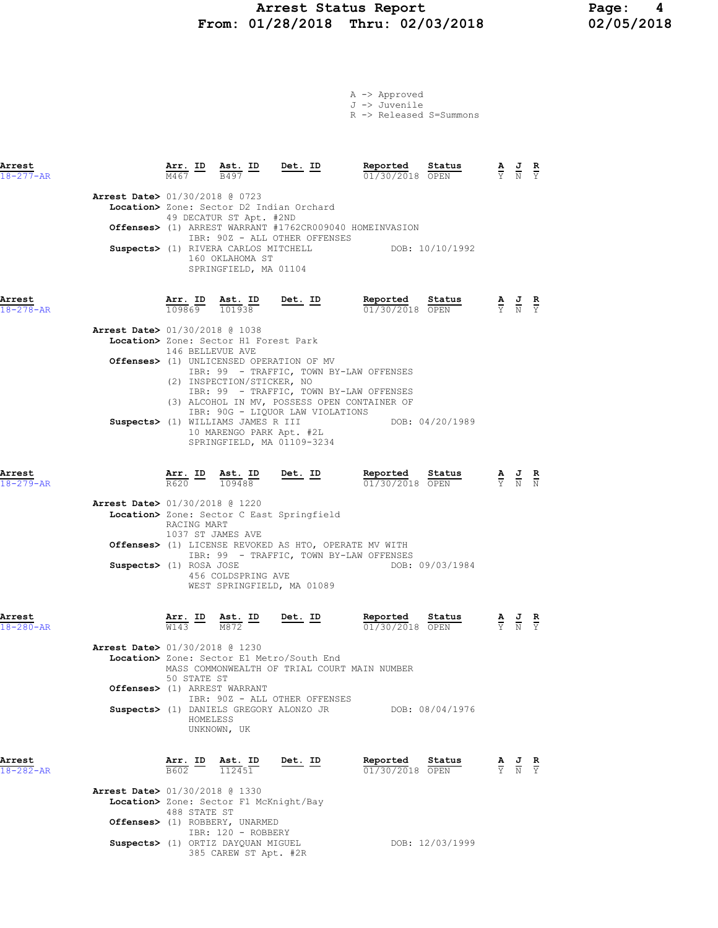# Arrest Status Report Page: 4 From: 01/28/2018 Thru: 02/03/2018 02/05/2018

|  | A -> Approved |                                    |
|--|---------------|------------------------------------|
|  | J -> Juvenile |                                    |
|  |               | $R \rightarrow$ Released S=Summons |

| Arrest<br>$18 - 277 - AR$ |                                                           | Arr. ID<br>M467                                         | Ast. ID Det. ID<br>B497                                                                                                                                           |                                                                                                                                                                                                                                                            | Reported<br>01/30/2018 OPEN                                                                                                 | Status                    | $\frac{\mathbf{A}}{\overline{Y}}$ $\frac{\mathbf{J}}{\overline{N}}$ $\frac{\mathbf{R}}{\overline{Y}}$ |  |
|---------------------------|-----------------------------------------------------------|---------------------------------------------------------|-------------------------------------------------------------------------------------------------------------------------------------------------------------------|------------------------------------------------------------------------------------------------------------------------------------------------------------------------------------------------------------------------------------------------------------|-----------------------------------------------------------------------------------------------------------------------------|---------------------------|-------------------------------------------------------------------------------------------------------|--|
|                           | <b>Arrest Date&gt;</b> 01/30/2018 @ 0723                  |                                                         | 49 DECATUR ST Apt. #2ND<br>Suspects> (1) RIVERA CARLOS MITCHELL<br>160 OKLAHOMA ST<br>SPRINGFIELD, MA 01104                                                       | Location> Zone: Sector D2 Indian Orchard<br>Offenses> (1) ARREST WARRANT #1762CR009040 HOMEINVASION<br>IBR: 90Z - ALL OTHER OFFENSES                                                                                                                       | DOB: 10/10/1992                                                                                                             |                           |                                                                                                       |  |
| Arrest<br>$18 - 278 - AR$ |                                                           |                                                         | Arr. ID Ast. ID<br>109869 101938                                                                                                                                  | <u>Det. ID</u>                                                                                                                                                                                                                                             | <b>Reported Status A J</b><br>$\frac{1}{11}$ $\frac{1}{20}$ $\frac{1}{20}$ $\frac{1}{18}$ $\frac{1}{18}$<br>01/30/2018 OPEN |                           |                                                                                                       |  |
|                           | <b>Arrest Date&gt; 01/30/2018 @ 1038</b>                  | 146 BELLEVUE AVE                                        | Location> Zone: Sector H1 Forest Park<br>(2) INSPECTION/STICKER, NO<br>Suspects> (1) WILLIAMS JAMES R III<br>10 MARENGO PARK Apt. #2L                             | <b>Offenses&gt;</b> (1) UNLICENSED OPERATION OF MV<br>IBR: 99 - TRAFFIC, TOWN BY-LAW OFFENSES<br>IBR: 99 - TRAFFIC, TOWN BY-LAW OFFENSES<br>(3) ALCOHOL IN MV, POSSESS OPEN CONTAINER OF<br>IBR: 90G - LIQUOR LAW VIOLATIONS<br>SPRINGFIELD, MA 01109-3234 |                                                                                                                             | DOB: 04/20/1989           |                                                                                                       |  |
| Arrest<br>$18 - 279 - AR$ | Arrest Date> 01/30/2018 @ 1220<br>Suspects> (1) ROSA JOSE | $\frac{\texttt{Arr.}}{\texttt{R620}}$ ID<br>RACING MART | $\frac{\texttt{Ast.}}{109488}$ Det. ID<br>1037 ST JAMES AVE<br>456 COLDSPRING AVE                                                                                 | Location> Zone: Sector C East Springfield<br>Offenses> (1) LICENSE REVOKED AS HTO, OPERATE MV WITH<br>IBR: 99 - TRAFFIC, TOWN BY-LAW OFFENSES<br>WEST SPRINGFIELD, MA 01089                                                                                | Reported<br>01/30/2018 OPEN                                                                                                 | Status<br>DOB: 09/03/1984 | $\frac{\mathbf{A}}{\overline{Y}}$ $\frac{\mathbf{J}}{\overline{N}}$ $\frac{\mathbf{R}}{\overline{N}}$ |  |
| Arrest<br>$18 - 280 - AR$ | <b>Arrest Date&gt; 01/30/2018 @ 1230</b>                  | 50 STATE ST<br>HOMELESS                                 | $\frac{\texttt{Arr.}}{\texttt{W143}}$ ID $\frac{\texttt{Ast.}}{\texttt{M872}}$ ID Det. ID<br>Offenses> (1) ARREST WARRANT<br>UNKNOWN, UK                          | Location> Zone: Sector E1 Metro/South End<br>MASS COMMONWEALTH OF TRIAL COURT MAIN NUMBER<br>IBR: 90Z - ALL OTHER OFFENSES<br>Suspects> (1) DANIELS GREGORY ALONZO JR                                                                                      | Reported<br>01/30/2018 OPEN                                                                                                 | Status<br>DOB: 08/04/1976 | $\frac{\mathbf{A}}{\mathbf{Y}}$ $\frac{\mathbf{J}}{\mathbf{N}}$ $\frac{\mathbf{R}}{\mathbf{Y}}$       |  |
| Arrest<br>$18 - 282 - AR$ | <b>Arrest Date&gt; 01/30/2018 @ 1330</b>                  | $\overline{B602}$<br>488 STATE ST                       | Arr. ID Ast. ID<br>112451<br>Location> Zone: Sector F1 McKnight/Bay<br>Offenses> (1) ROBBERY, UNARMED<br>IBR: 120 - ROBBERY<br>Suspects> (1) ORTIZ DAYQUAN MIGUEL | $Det$ . ID                                                                                                                                                                                                                                                 | Reported<br>01/30/2018 OPEN                                                                                                 | Status<br>DOB: 12/03/1999 | $\frac{\mathbf{A}}{\mathbf{Y}}$ $\frac{\mathbf{J}}{\mathbf{N}}$ $\frac{\mathbf{R}}{\mathbf{Y}}$       |  |
|                           |                                                           |                                                         | 385 CAREW ST Apt. #2R                                                                                                                                             |                                                                                                                                                                                                                                                            |                                                                                                                             |                           |                                                                                                       |  |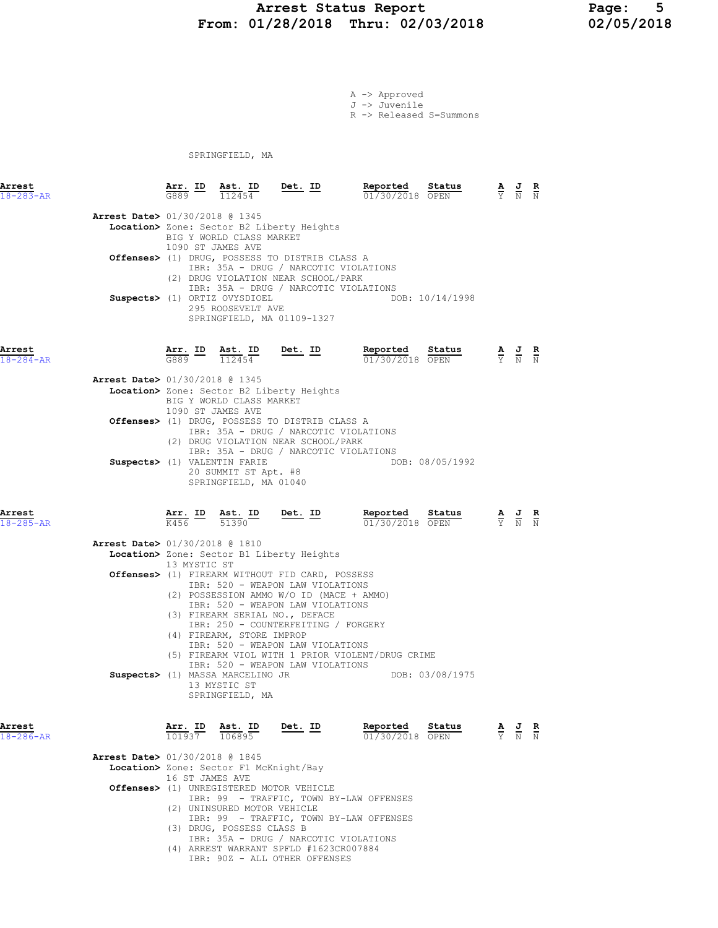# Arrest Status Report Page: 5 From: 01/28/2018 Thru: 02/03/2018

A -> Approved J -> Juvenile R -> Released S=Summons

SPRINGFIELD, MA

| Arrest<br>18-283-AR       |                                          | $\frac{\texttt{Arr.}}{\texttt{max}}$ ID | Ast. ID Det. ID<br>112454                                                        |                                                                                                                                                                                                                                                              | Reported<br>01/30/2018 OPEN                      | Status          |                                                                 |                                                                                                       |                        |
|---------------------------|------------------------------------------|-----------------------------------------|----------------------------------------------------------------------------------|--------------------------------------------------------------------------------------------------------------------------------------------------------------------------------------------------------------------------------------------------------------|--------------------------------------------------|-----------------|-----------------------------------------------------------------|-------------------------------------------------------------------------------------------------------|------------------------|
|                           | <b>Arrest Date&gt;</b> 01/30/2018 @ 1345 | 1090 ST JAMES AVE                       | BIG Y WORLD CLASS MARKET                                                         | Location> Zone: Sector B2 Liberty Heights<br>Offenses> (1) DRUG, POSSESS TO DISTRIB CLASS A<br>IBR: 35A - DRUG / NARCOTIC VIOLATIONS<br>(2) DRUG VIOLATION NEAR SCHOOL/PARK                                                                                  |                                                  |                 |                                                                 |                                                                                                       |                        |
|                           |                                          |                                         | Suspects> (1) ORTIZ OVYSDIOEL<br>295 ROOSEVELT AVE                               | IBR: 35A - DRUG / NARCOTIC VIOLATIONS<br>SPRINGFIELD, MA 01109-1327                                                                                                                                                                                          |                                                  | DOB: 10/14/1998 |                                                                 |                                                                                                       |                        |
| Arrest<br>$18 - 284 - AR$ |                                          |                                         | $\frac{\texttt{Arr.}}{\texttt{G889}}$ ID $\frac{\texttt{ Ast.}}{112454}$ Det. ID |                                                                                                                                                                                                                                                              | Reported Status<br>01/30/2018 OPEN               |                 | $\frac{\mathbf{A}}{\mathbf{Y}}$ $\frac{\mathbf{J}}{\mathbf{N}}$ |                                                                                                       | $\frac{\mathbf{R}}{N}$ |
|                           | <b>Arrest Date&gt;</b> 01/30/2018 @ 1345 |                                         | BIG Y WORLD CLASS MARKET                                                         | Location> Zone: Sector B2 Liberty Heights                                                                                                                                                                                                                    |                                                  |                 |                                                                 |                                                                                                       |                        |
|                           |                                          | 1090 ST JAMES AVE                       |                                                                                  | Offenses> (1) DRUG, POSSESS TO DISTRIB CLASS A<br>IBR: 35A - DRUG / NARCOTIC VIOLATIONS<br>(2) DRUG VIOLATION NEAR SCHOOL/PARK<br>IBR: 35A - DRUG / NARCOTIC VIOLATIONS                                                                                      |                                                  |                 |                                                                 |                                                                                                       |                        |
|                           |                                          |                                         | Suspects> (1) VALENTIN FARIE<br>20 SUMMIT ST Apt. #8<br>SPRINGFIELD, MA 01040    |                                                                                                                                                                                                                                                              |                                                  | DOB: 08/05/1992 |                                                                 |                                                                                                       |                        |
| Arrest<br>$18 - 285 - AR$ |                                          | $\overline{K456}$                       | Arr. ID Ast. ID<br>51390                                                         | $Det. ID$                                                                                                                                                                                                                                                    | Reported<br>01/30/2018 OPEN                      | Status          | $\frac{\mathbf{A}}{\mathbf{Y}}$ $\frac{\mathbf{J}}{\mathbf{N}}$ |                                                                                                       | $\frac{\mathbf{R}}{N}$ |
|                           | Arrest Date> 01/30/2018 @ 1810           | 13 MYSTIC ST                            |                                                                                  | Location> Zone: Sector B1 Liberty Heights<br>Offenses> (1) FIREARM WITHOUT FID CARD, POSSESS                                                                                                                                                                 |                                                  |                 |                                                                 |                                                                                                       |                        |
|                           |                                          |                                         | (4) FIREARM, STORE IMPROP                                                        | IBR: 520 - WEAPON LAW VIOLATIONS<br>(2) POSSESSION AMMO W/O ID (MACE + AMMO)<br>IBR: 520 - WEAPON LAW VIOLATIONS<br>(3) FIREARM SERIAL NO., DEFACE<br>IBR: 250 - COUNTERFEITING / FORGERY<br>IBR: 520 - WEAPON LAW VIOLATIONS                                |                                                  |                 |                                                                 |                                                                                                       |                        |
|                           |                                          |                                         | Suspects> (1) MASSA MARCELINO JR<br>13 MYSTIC ST<br>SPRINGFIELD, MA              | IBR: 520 - WEAPON LAW VIOLATIONS                                                                                                                                                                                                                             | (5) FIREARM VIOL WITH 1 PRIOR VIOLENT/DRUG CRIME | DOB: 03/08/1975 |                                                                 |                                                                                                       |                        |
| Arrest<br>18-286-AR       |                                          |                                         | $\frac{\texttt{Arr. ID}}{101937}$ $\frac{\texttt{ Ast. ID}}{106895}$             | <u>Det. ID</u>                                                                                                                                                                                                                                               | Reported<br>01/30/2018 OPEN                      | Status          |                                                                 | $\frac{\mathbf{A}}{\overline{Y}}$ $\frac{\mathbf{J}}{\overline{N}}$ $\frac{\mathbf{R}}{\overline{N}}$ |                        |
|                           | <b>Arrest Date&gt;</b> 01/30/2018 @ 1845 | 16 ST JAMES AVE                         | Location> Zone: Sector F1 McKnight/Bay                                           |                                                                                                                                                                                                                                                              |                                                  |                 |                                                                 |                                                                                                       |                        |
|                           |                                          |                                         | (2) UNINSURED MOTOR VEHICLE<br>(3) DRUG, POSSESS CLASS B                         | <b>Offenses&gt;</b> (1) UNREGISTERED MOTOR VEHICLE<br>IBR: 99 - TRAFFIC, TOWN BY-LAW OFFENSES<br>IBR: 99 - TRAFFIC, TOWN BY-LAW OFFENSES<br>IBR: 35A - DRUG / NARCOTIC VIOLATIONS<br>(4) ARREST WARRANT SPFLD #1623CR007884<br>IBR: 90Z - ALL OTHER OFFENSES |                                                  |                 |                                                                 |                                                                                                       |                        |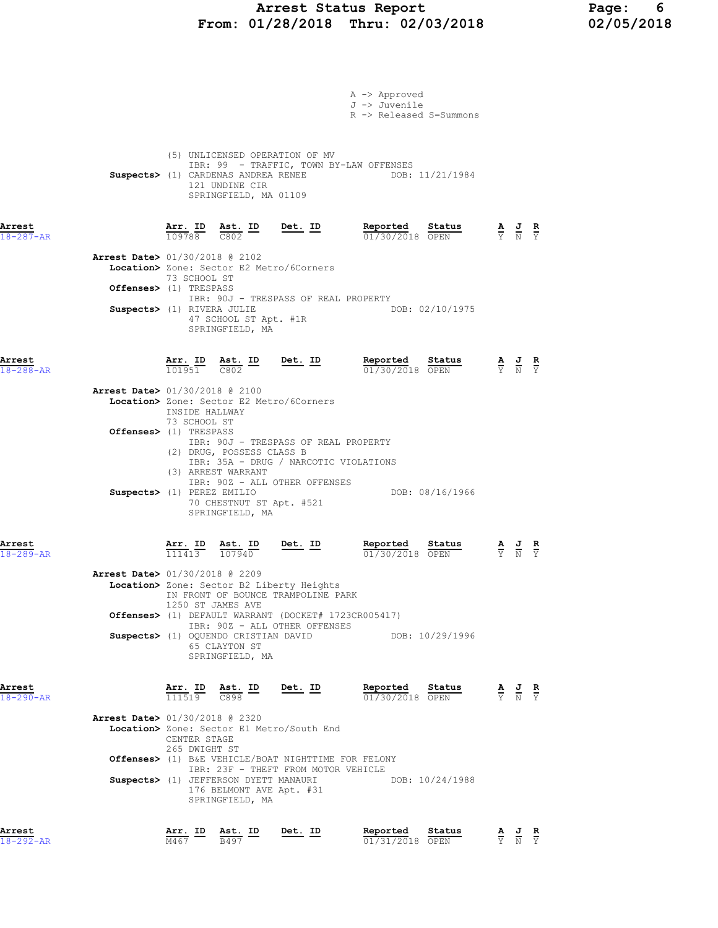# Arrest Status Report Page: 6 From: 01/28/2018 Thru: 02/03/2018 02/05/2018

|                           | A -> Approved<br>J -> Juvenile<br>R -> Released S=Summons                                                                                                                                   |                                                                                                 |
|---------------------------|---------------------------------------------------------------------------------------------------------------------------------------------------------------------------------------------|-------------------------------------------------------------------------------------------------|
|                           | (5) UNLICENSED OPERATION OF MV<br>IBR: 99 - TRAFFIC, TOWN BY-LAW OFFENSES<br>Suspects> (1) CARDENAS ANDREA RENEE<br>DOB: 11/21/1984<br>121 UNDINE CIR<br>SPRINGFIELD, MA 01109              |                                                                                                 |
| Arrest<br>$18 - 287 - AR$ | $\frac{\texttt{Arr.}}{109788}$ $\frac{\texttt{ Ast.}}{C802}$ $\frac{\texttt{ID}}{D}$ $\frac{\texttt{Det.}}{D}$<br>Reported Status<br>01/30/2018 OPEN                                        | $\frac{\mathbf{A}}{\mathbf{Y}}$ $\frac{\mathbf{J}}{\mathbf{N}}$ $\frac{\mathbf{R}}{\mathbf{Y}}$ |
|                           | <b>Arrest Date&gt;</b> 01/30/2018 @ 2102<br>Location> Zone: Sector E2 Metro/6Corners<br>73 SCHOOL ST<br>Offenses> (1) TRESPASS<br>IBR: 90J - TRESPASS OF REAL PROPERTY                      |                                                                                                 |
|                           | DOB: 02/10/1975<br>Suspects> (1) RIVERA JULIE<br>47 SCHOOL ST Apt. #1R<br>SPRINGFIELD, MA                                                                                                   |                                                                                                 |
| Arrest<br>$18 - 288 - AR$ | $Det. ID$<br>Reported<br>$\frac{\texttt{Arr.}}{101951}$<br>$\frac{\texttt{Ast.}}{\texttt{C802}}$ ID<br>Status<br>$01/30/2018$ OPEN                                                          | $\frac{\mathbf{A}}{\mathbf{Y}}$ $\frac{\mathbf{J}}{\mathbf{N}}$ $\frac{\mathbf{R}}{\mathbf{Y}}$ |
|                           | <b>Arrest Date&gt;</b> 01/30/2018 @ 2100<br>Location> Zone: Sector E2 Metro/6Corners<br>INSIDE HALLWAY                                                                                      |                                                                                                 |
|                           | 73 SCHOOL ST<br>Offenses> (1) TRESPASS<br>IBR: 90J - TRESPASS OF REAL PROPERTY<br>(2) DRUG, POSSESS CLASS B<br>IBR: 35A - DRUG / NARCOTIC VIOLATIONS                                        |                                                                                                 |
|                           | (3) ARREST WARRANT<br>IBR: 90Z - ALL OTHER OFFENSES<br>DOB: 08/16/1966<br>Suspects> (1) PEREZ EMILIO<br>70 CHESTNUT ST Apt. #521<br>SPRINGFIELD, MA                                         |                                                                                                 |
| Arrest<br>$18 - 289 - AR$ | <u>Det. ID</u><br>Reported<br>Arr. ID<br>Ast. ID<br>Status<br>111413<br>107940<br>01/30/2018 OPEN                                                                                           | $\frac{\mathbf{A}}{\mathbf{Y}}$ $\frac{\mathbf{J}}{\mathbf{N}}$ $\frac{\mathbf{R}}{\mathbf{Y}}$ |
|                           | <b>Arrest Date&gt;</b> 01/30/2018 @ 2209<br>Location> Zone: Sector B2 Liberty Heights<br>IN FRONT OF BOUNCE TRAMPOLINE PARK<br>1250 ST JAMES AVE                                            |                                                                                                 |
|                           | <b>Offenses&gt;</b> (1) DEFAULT WARRANT (DOCKET# 1723CR005417)<br>IBR: 90Z - ALL OTHER OFFENSES<br>Suspects> (1) OQUENDO CRISTIAN DAVID DOB: 10/29/1996<br>65 CLAYTON ST<br>SPRINGFIELD, MA |                                                                                                 |
| Arrest<br>$18 - 290 - AR$ | Reported<br><u>Arr. ID</u><br>Ast. ID<br><u>Det. ID</u><br>Status<br>C898<br>111519<br>01/30/2018 OPEN                                                                                      | $\frac{\mathbf{A}}{\mathbf{Y}}$ $\frac{\mathbf{J}}{\mathbf{N}}$ $\frac{\mathbf{R}}{\mathbf{Y}}$ |
|                           | Arrest Date> 01/30/2018 @ 2320<br>Location> Zone: Sector E1 Metro/South End<br>CENTER STAGE<br>265 DWIGHT ST<br><b>Offenses&gt;</b> (1) B&E VEHICLE/BOAT NIGHTTIME FOR FELONY               |                                                                                                 |
|                           | IBR: 23F - THEFT FROM MOTOR VEHICLE<br>Suspects> (1) JEFFERSON DYETT MANAURI DOB: 10/24/1988<br>176 BELMONT AVE Apt. #31<br>SPRINGFIELD, MA                                                 |                                                                                                 |
| Arrest<br>$18 - 292 - AR$ | Reported<br><u>Arr. ID</u><br><u>Ast. ID</u><br><u>Det. ID</u><br>Status<br>M467<br>B497<br>01/31/2018 OPEN                                                                                 | $\frac{\mathbf{A}}{\mathbf{Y}}$ $\frac{\mathbf{J}}{\mathbf{N}}$ $\frac{\mathbf{R}}{\mathbf{Y}}$ |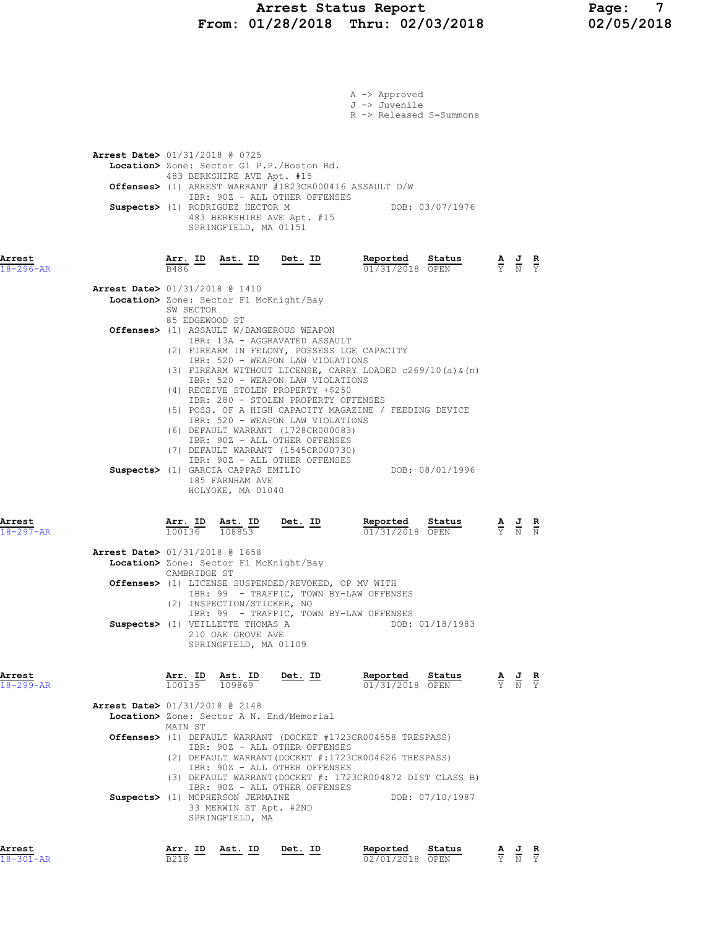# Arrest Status Report Page: 7 From: 01/28/2018 Thru: 02/03/2018 02/05/2018

|                                                                       |                             |                                                                                                              |                                                                                                                                                                                                                                                                                                                                                                                                                                          | A -> Approved<br>J -> Juvenile<br>R -> Released S=Summons                                                                                                                                    |                                                                                                 |                                                                                                 |  |
|-----------------------------------------------------------------------|-----------------------------|--------------------------------------------------------------------------------------------------------------|------------------------------------------------------------------------------------------------------------------------------------------------------------------------------------------------------------------------------------------------------------------------------------------------------------------------------------------------------------------------------------------------------------------------------------------|----------------------------------------------------------------------------------------------------------------------------------------------------------------------------------------------|-------------------------------------------------------------------------------------------------|-------------------------------------------------------------------------------------------------|--|
| <b>Arrest Date&gt;</b> 01/31/2018 @ 0725                              |                             | 483 BERKSHIRE AVE Apt. #15                                                                                   | Location> Zone: Sector G1 P.P./Boston Rd.                                                                                                                                                                                                                                                                                                                                                                                                | Offenses> (1) ARREST WARRANT #1823CR000416 ASSAULT D/W                                                                                                                                       |                                                                                                 |                                                                                                 |  |
|                                                                       |                             | Suspects> (1) RODRIGUEZ HECTOR M<br>SPRINGFIELD, MA 01151                                                    | IBR: 90Z - ALL OTHER OFFENSES<br>483 BERKSHIRE AVE Apt. #15                                                                                                                                                                                                                                                                                                                                                                              | DOB: 03/07/1976                                                                                                                                                                              |                                                                                                 |                                                                                                 |  |
| Arrest<br>$18 - 296 - AR$                                             | B486                        |                                                                                                              | Arr. ID Ast. ID Det. ID                                                                                                                                                                                                                                                                                                                                                                                                                  | Reported Status<br>01/31/2018 OPEN                                                                                                                                                           |                                                                                                 | $\frac{\mathbf{A}}{\mathbf{Y}}$ $\frac{\mathbf{J}}{\mathbf{N}}$ $\frac{\mathbf{R}}{\mathbf{Y}}$ |  |
| <b>Arrest Date&gt;</b> 01/31/2018 @ 1410                              | SW SECTOR<br>85 EDGEWOOD ST | Location> Zone: Sector F1 McKnight/Bay                                                                       |                                                                                                                                                                                                                                                                                                                                                                                                                                          |                                                                                                                                                                                              |                                                                                                 |                                                                                                 |  |
|                                                                       |                             |                                                                                                              | <b>Offenses&gt;</b> (1) ASSAULT W/DANGEROUS WEAPON<br>IBR: 13A - AGGRAVATED ASSAULT<br>(2) FIREARM IN FELONY, POSSESS LGE CAPACITY<br>IBR: 520 - WEAPON LAW VIOLATIONS<br>IBR: 520 - WEAPON LAW VIOLATIONS<br>(4) RECEIVE STOLEN PROPERTY +\$250<br>IBR: 280 - STOLEN PROPERTY OFFENSES<br>IBR: 520 - WEAPON LAW VIOLATIONS<br>(6) DEFAULT WARRANT (1728CR000083)<br>IBR: 90Z - ALL OTHER OFFENSES<br>(7) DEFAULT WARRANT (1545CR000730) | (3) FIREARM WITHOUT LICENSE, CARRY LOADED c269/10(a) & (n)<br>(5) POSS. OF A HIGH CAPACITY MAGAZINE / FEEDING DEVICE                                                                         |                                                                                                 |                                                                                                 |  |
|                                                                       |                             | 185 FARNHAM AVE<br>HOLYOKE, MA 01040                                                                         | IBR: 90Z - ALL OTHER OFFENSES<br>Suspects> (1) GARCIA CAPPAS EMILIO                                                                                                                                                                                                                                                                                                                                                                      | DOB: 08/01/1996                                                                                                                                                                              |                                                                                                 |                                                                                                 |  |
| Arrest<br>$18 - 297 - AR$<br><b>Arrest Date&gt;</b> 01/31/2018 @ 1658 | 100136                      | 108853                                                                                                       | $\underbrace{\texttt{Arr.}}$ ID $\underbrace{\texttt{Est.}}$ ID Det. ID                                                                                                                                                                                                                                                                                                                                                                  | Reported Status<br>$01/31/2018$ OPEN                                                                                                                                                         | $\frac{\mathbf{A}}{\mathbf{Y}}$ $\frac{\mathbf{J}}{\mathbf{N}}$ $\frac{\mathbf{R}}{\mathbf{N}}$ |                                                                                                 |  |
|                                                                       | CAMBRIDGE ST                | Location> Zone: Sector F1 McKnight/Bay                                                                       | Offenses> (1) LICENSE SUSPENDED/REVOKED, OP MV WITH                                                                                                                                                                                                                                                                                                                                                                                      |                                                                                                                                                                                              |                                                                                                 |                                                                                                 |  |
|                                                                       |                             | (2) INSPECTION/STICKER, NO<br>Suspects> (1) VEILLETTE THOMAS A<br>210 OAK GROVE AVE<br>SPRINGFIELD, MA 01109 |                                                                                                                                                                                                                                                                                                                                                                                                                                          | IBR: 99 - TRAFFIC, TOWN BY-LAW OFFENSES<br>IBR: 99 - TRAFFIC, TOWN BY-LAW OFFENSES<br>DOB: 01/18/1983                                                                                        |                                                                                                 |                                                                                                 |  |
| Arrest<br>$18 - 299 - AR$                                             |                             |                                                                                                              | $\frac{\texttt{Arr. ID}}{100135}$ $\frac{\texttt{ Ast. ID}}{109869}$ Det. ID                                                                                                                                                                                                                                                                                                                                                             | Reported Status<br>01/31/2018 OPEN                                                                                                                                                           |                                                                                                 | $\frac{\mathbf{A}}{\mathbf{Y}}$ $\frac{\mathbf{J}}{\mathbf{N}}$ $\frac{\mathbf{R}}{\mathbf{Y}}$ |  |
| <b>Arrest Date&gt;</b> 01/31/2018 @ 2148                              | MAIN ST                     |                                                                                                              | Location> Zone: Sector A N. End/Memorial                                                                                                                                                                                                                                                                                                                                                                                                 |                                                                                                                                                                                              |                                                                                                 |                                                                                                 |  |
|                                                                       |                             |                                                                                                              | IBR: 90Z - ALL OTHER OFFENSES<br>IBR: 90Z - ALL OTHER OFFENSES<br>IBR: 90Z - ALL OTHER OFFENSES                                                                                                                                                                                                                                                                                                                                          | <b>Offenses&gt;</b> (1) DEFAULT WARRANT (DOCKET #1723CR004558 TRESPASS)<br>(2) DEFAULT WARRANT (DOCKET #:1723CR004626 TRESPASS)<br>(3) DEFAULT WARRANT (DOCKET #: 1723CR004872 DIST CLASS B) |                                                                                                 |                                                                                                 |  |
|                                                                       |                             | Suspects> (1) MCPHERSON JERMAINE<br>33 MERWIN ST Apt. #2ND<br>SPRINGFIELD, MA                                |                                                                                                                                                                                                                                                                                                                                                                                                                                          | DOB: 07/10/1987                                                                                                                                                                              |                                                                                                 |                                                                                                 |  |

Arrest Arr. ID Ast. ID Det. ID Reported Status A J R 18-301-AR B218 02/01/2018 OPEN Y N Y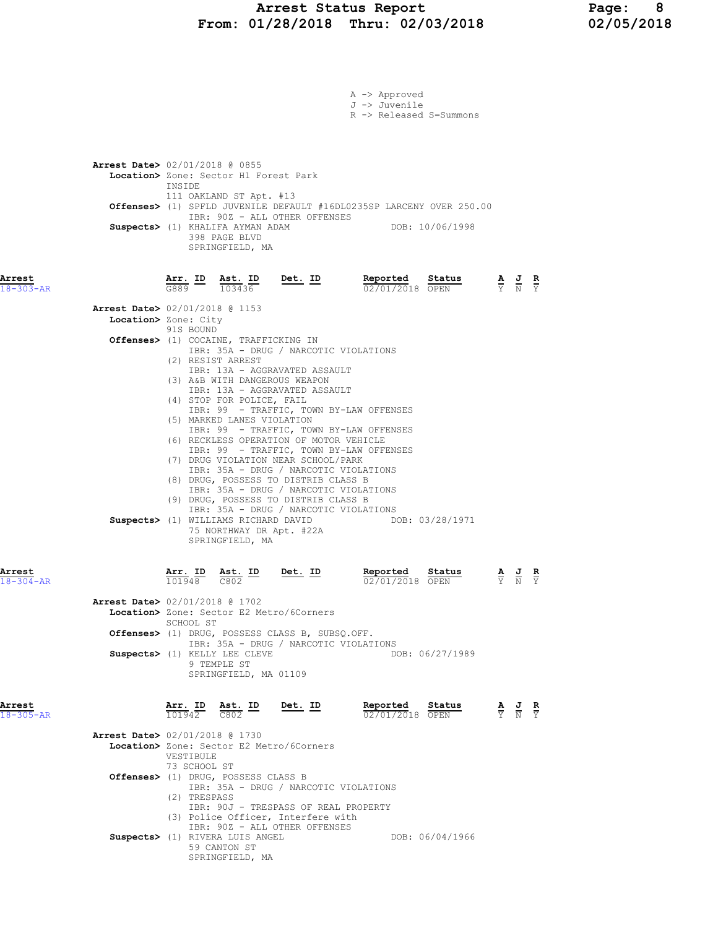|                           |                                                                                                                                                                                                                                                                                                                                                                                                                                                                                                  |                                                                                                                                                                                                                                                                                                                                                                     | A -> Approved<br>J -> Juvenile<br>R -> Released S=Summons |                 |                                                                                                       |                           |
|---------------------------|--------------------------------------------------------------------------------------------------------------------------------------------------------------------------------------------------------------------------------------------------------------------------------------------------------------------------------------------------------------------------------------------------------------------------------------------------------------------------------------------------|---------------------------------------------------------------------------------------------------------------------------------------------------------------------------------------------------------------------------------------------------------------------------------------------------------------------------------------------------------------------|-----------------------------------------------------------|-----------------|-------------------------------------------------------------------------------------------------------|---------------------------|
|                           | <b>Arrest Date&gt;</b> 02/01/2018 @ 0855<br>Location> Zone: Sector H1 Forest Park<br><b>TNSTDE</b><br>111 OAKLAND ST Apt. #13<br><b>Offenses&gt;</b> (1) SPFLD JUVENILE DEFAULT #16DL0235SP LARCENY OVER 250.00<br>Suspects> (1) KHALIFA AYMAN ADAM<br>398 PAGE BLVD<br>SPRINGFIELD, MA                                                                                                                                                                                                          | IBR: 90Z - ALL OTHER OFFENSES                                                                                                                                                                                                                                                                                                                                       |                                                           | DOB: 10/06/1998 |                                                                                                       |                           |
| Arrest<br>18-303-AR       | $\frac{\texttt{Arr.}}{\texttt{G889}}$ ID<br><u>Ast. ID</u><br>103436                                                                                                                                                                                                                                                                                                                                                                                                                             | <u>Det. ID</u>                                                                                                                                                                                                                                                                                                                                                      | Reported<br>02/01/2018 OPEN                               | Status          | $\frac{\mathbf{A}}{\overline{Y}}$ $\frac{\mathbf{J}}{\overline{N}}$ $\frac{\mathbf{R}}{\overline{Y}}$ |                           |
|                           | Arrest Date> 02/01/2018 @ 1153<br>Location> Zone: City<br>91S BOUND<br><b>Offenses&gt;</b> (1) COCAINE, TRAFFICKING IN<br>(2) RESIST ARREST<br>(3) A&B WITH DANGEROUS WEAPON<br>(4) STOP FOR POLICE, FAIL<br>(5) MARKED LANES VIOLATION<br>(6) RECKLESS OPERATION OF MOTOR VEHICLE<br>(7) DRUG VIOLATION NEAR SCHOOL/PARK<br>(8) DRUG, POSSESS TO DISTRIB CLASS B<br>(9) DRUG, POSSESS TO DISTRIB CLASS B<br>Suspects> (1) WILLIAMS RICHARD DAVID<br>75 NORTHWAY DR Apt. #22A<br>SPRINGFIELD, MA | IBR: 35A - DRUG / NARCOTIC VIOLATIONS<br>IBR: 13A - AGGRAVATED ASSAULT<br>IBR: 13A - AGGRAVATED ASSAULT<br>IBR: 99 - TRAFFIC, TOWN BY-LAW OFFENSES<br>IBR: 99 - TRAFFIC, TOWN BY-LAW OFFENSES<br>IBR: 99 - TRAFFIC, TOWN BY-LAW OFFENSES<br>IBR: 35A - DRUG / NARCOTIC VIOLATIONS<br>IBR: 35A - DRUG / NARCOTIC VIOLATIONS<br>IBR: 35A - DRUG / NARCOTIC VIOLATIONS |                                                           | DOB: 03/28/1971 |                                                                                                       |                           |
| Arrest<br>$18 - 304 - AR$ | $\frac{\text{Ast.}}{\text{C802}}$ ID<br>$\frac{1}{101948}$<br><b>Arrest Date&gt;</b> 02/01/2018 @ 1702                                                                                                                                                                                                                                                                                                                                                                                           | Det. ID                                                                                                                                                                                                                                                                                                                                                             | Reported<br>02/01/2018 OPEN                               | Status          | $\frac{\mathbf{A}}{\mathbf{Y}}$ $\frac{\mathbf{J}}{\mathbf{N}}$                                       | $rac{\mathbf{R}}{\gamma}$ |
|                           | Location> Zone: Sector E2 Metro/6Corners<br>SCHOOL ST<br>Offenses> (1) DRUG, POSSESS CLASS B, SUBSQ.OFF.<br>Suspects> (1) KELLY LEE CLEVE<br>9 TEMPLE ST<br>SPRINGFIELD, MA 01109                                                                                                                                                                                                                                                                                                                | IBR: 35A - DRUG / NARCOTIC VIOLATIONS                                                                                                                                                                                                                                                                                                                               |                                                           | DOB: 06/27/1989 |                                                                                                       |                           |
| Arrest<br>$18 - 305 - AR$ | Arr. ID<br>$\frac{\text{Ast.}}{\text{C802}}$ $\frac{\text{ID}}{\text{D}}$<br>101942<br><b>Arrest Date&gt;</b> 02/01/2018 @ 1730                                                                                                                                                                                                                                                                                                                                                                  | Det. ID                                                                                                                                                                                                                                                                                                                                                             | Reported<br>02/01/2018 OPEN                               | Status          | $\frac{\mathbf{A}}{\overline{Y}}$ $\frac{\mathbf{J}}{\overline{N}}$ $\frac{\mathbf{R}}{\overline{Y}}$ |                           |
|                           | Location> Zone: Sector E2 Metro/6Corners<br>VESTIBULE<br>73 SCHOOL ST<br>Offenses> (1) DRUG, POSSESS CLASS B<br>(2) TRESPASS                                                                                                                                                                                                                                                                                                                                                                     | IBR: 35A - DRUG / NARCOTIC VIOLATIONS<br>IBR: 90J - TRESPASS OF REAL PROPERTY                                                                                                                                                                                                                                                                                       |                                                           |                 |                                                                                                       |                           |
|                           | (3) Police Officer, Interfere with<br>Suspects> (1) RIVERA LUIS ANGEL<br>59 CANTON ST<br>SPRINGFIELD, MA                                                                                                                                                                                                                                                                                                                                                                                         | IBR: 90Z - ALL OTHER OFFENSES                                                                                                                                                                                                                                                                                                                                       |                                                           | DOB: 06/04/1966 |                                                                                                       |                           |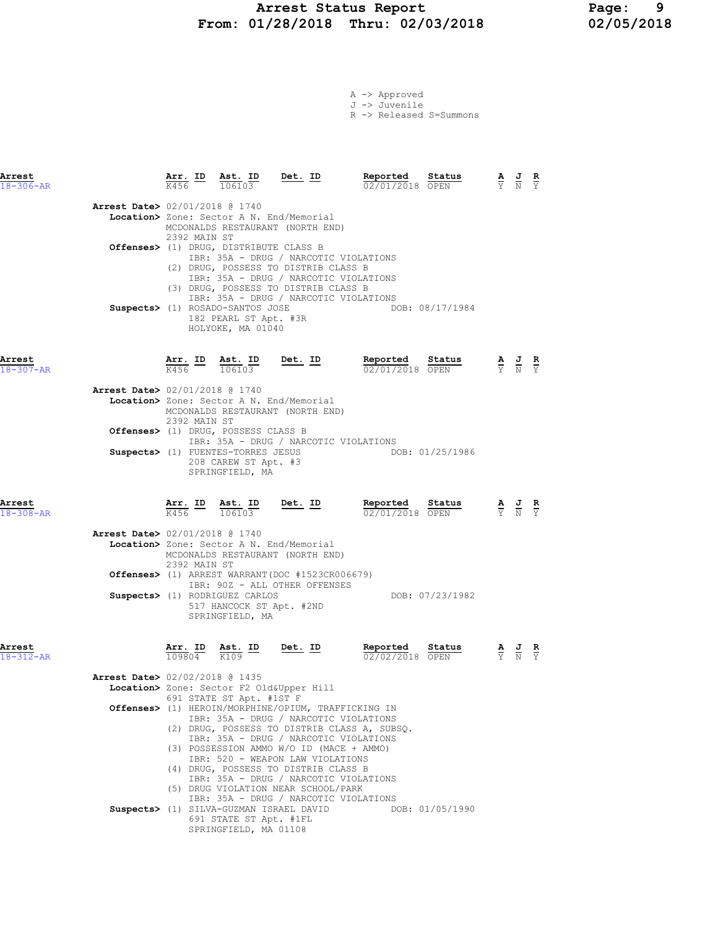# Arrest Status Report Page: 9 From:  $01/28/2018$  Thru:  $02/03/2018$

|  | A -> Approved |                         |
|--|---------------|-------------------------|
|  | J -> Juvenile |                         |
|  |               | R -> Released S=Summons |

| Arrest<br>$18 - 306 - AR$ |                                |                                                                                         | $\frac{\text{Arr}}{\text{mer}}$ ID $\frac{\text{Ast}}{\text{mer}}$<br>106103   | <u>Det. ID</u>                                                                                                                                                             | Reported<br>Status<br>02/01/2018 OPEN                  |                                 | $\frac{\mathbf{A}}{\mathbf{Y}}$ $\frac{\mathbf{J}}{\mathbf{N}}$ $\frac{\mathbf{R}}{\mathbf{Y}}$ |                               |
|---------------------------|--------------------------------|-----------------------------------------------------------------------------------------|--------------------------------------------------------------------------------|----------------------------------------------------------------------------------------------------------------------------------------------------------------------------|--------------------------------------------------------|---------------------------------|-------------------------------------------------------------------------------------------------|-------------------------------|
|                           | Arrest Date> 02/01/2018 @ 1740 |                                                                                         |                                                                                |                                                                                                                                                                            |                                                        |                                 |                                                                                                 |                               |
|                           |                                | 2392 MAIN ST                                                                            |                                                                                | Location> Zone: Sector A N. End/Memorial<br>MCDONALDS RESTAURANT (NORTH END)                                                                                               |                                                        |                                 |                                                                                                 |                               |
|                           |                                |                                                                                         | <b>Offenses&gt;</b> (1) DRUG, DISTRIBUTE CLASS B                               | IBR: 35A - DRUG / NARCOTIC VIOLATIONS<br>(2) DRUG, POSSESS TO DISTRIB CLASS B<br>IBR: 35A - DRUG / NARCOTIC VIOLATIONS<br>(3) DRUG, POSSESS TO DISTRIB CLASS B             |                                                        |                                 |                                                                                                 |                               |
|                           |                                |                                                                                         | Suspects> (1) ROSADO-SANTOS JOSE<br>182 PEARL ST Apt. #3R<br>HOLYOKE, MA 01040 | IBR: 35A - DRUG / NARCOTIC VIOLATIONS                                                                                                                                      | DOB: 08/17/1984                                        |                                 |                                                                                                 |                               |
| Arrest<br>$18 - 307 - AR$ |                                |                                                                                         | $\frac{\texttt{Arr.}}{K456}$ ID $\frac{\texttt{ Ast.}}{106103}$                | <u>Det. ID</u>                                                                                                                                                             | Reported Status<br>$\frac{02}{01/2018}$ OPEN<br>Status |                                 | $\frac{\mathbf{A}}{\mathbf{Y}}$ $\frac{\mathbf{J}}{\mathbf{N}}$ $\frac{\mathbf{R}}{\mathbf{Y}}$ |                               |
|                           | Arrest Date> 02/01/2018 @ 1740 | 2392 MAIN ST                                                                            |                                                                                | Location> Zone: Sector A N. End/Memorial<br>MCDONALDS RESTAURANT (NORTH END)                                                                                               |                                                        |                                 |                                                                                                 |                               |
|                           |                                |                                                                                         | Offenses> (1) DRUG, POSSESS CLASS B                                            | IBR: 35A - DRUG / NARCOTIC VIOLATIONS                                                                                                                                      |                                                        |                                 |                                                                                                 |                               |
|                           |                                |                                                                                         | Suspects> (1) FUENTES-TORRES JESUS<br>208 CAREW ST Apt. #3<br>SPRINGFIELD, MA  |                                                                                                                                                                            | DOB: 01/25/1986                                        |                                 |                                                                                                 |                               |
| Arrest<br>$18 - 308 - AR$ |                                | Arr. ID<br>K456                                                                         | Ast. ID<br>106103                                                              | <u>Det.</u> ID                                                                                                                                                             | Reported<br>Status<br>02/01/2018 OPEN                  |                                 | $\frac{\mathbf{A}}{\mathbf{Y}}$ $\frac{\mathbf{J}}{\mathbf{N}}$ $\frac{\mathbf{R}}{\mathbf{Y}}$ |                               |
|                           | Arrest Date> 02/01/2018 @ 1740 | 2392 MAIN ST                                                                            |                                                                                | Location> Zone: Sector A N. End/Memorial<br>MCDONALDS RESTAURANT (NORTH END)                                                                                               |                                                        |                                 |                                                                                                 |                               |
|                           |                                |                                                                                         |                                                                                | <b>Offenses&gt;</b> (1) ARREST WARRANT (DOC #1523CR006679)                                                                                                                 |                                                        |                                 |                                                                                                 |                               |
|                           |                                |                                                                                         | Suspects> (1) RODRIGUEZ CARLOS<br>517 HANCOCK ST Apt. #2ND<br>SPRINGFIELD, MA  | IBR: 90Z - ALL OTHER OFFENSES                                                                                                                                              | DOB: 07/23/1982                                        |                                 |                                                                                                 |                               |
| Arrest<br>$18 - 312 - AR$ |                                | $\frac{\texttt{Arr.}}{109804}$ $\frac{\texttt{Ab.}}{K109}$ $\frac{\texttt{int.}}{K109}$ |                                                                                | Det. ID                                                                                                                                                                    | Reported<br>Status<br>02/02/2018 OPEN                  | $\frac{\mathbf{A}}{\mathrm{Y}}$ |                                                                                                 | $rac{\mathbf{R}}{\mathbf{Y}}$ |
|                           | Arrest Date> 02/02/2018 @ 1435 |                                                                                         |                                                                                |                                                                                                                                                                            |                                                        |                                 |                                                                                                 |                               |
|                           |                                |                                                                                         |                                                                                | Location> Zone: Sector F2 Old&Upper Hill                                                                                                                                   |                                                        |                                 |                                                                                                 |                               |
|                           |                                |                                                                                         | 691 STATE ST Apt. #1ST F                                                       | Offenses> (1) HEROIN/MORPHINE/OPIUM, TRAFFICKING IN                                                                                                                        |                                                        |                                 |                                                                                                 |                               |
|                           |                                |                                                                                         |                                                                                | IBR: 35A - DRUG / NARCOTIC VIOLATIONS<br>(2) DRUG, POSSESS TO DISTRIB CLASS A, SUBSQ.<br>IBR: 35A - DRUG / NARCOTIC VIOLATIONS<br>(3) POSSESSION AMMO W/O ID (MACE + AMMO) |                                                        |                                 |                                                                                                 |                               |
|                           |                                |                                                                                         |                                                                                | IBR: 520 - WEAPON LAW VIOLATIONS<br>(4) DRUG, POSSESS TO DISTRIB CLASS B<br>IBR: 35A - DRUG / NARCOTIC VIOLATIONS<br>(5) DRUG VIOLATION NEAR SCHOOL/PARK                   |                                                        |                                 |                                                                                                 |                               |
|                           |                                |                                                                                         |                                                                                | IBR: 35A - DRUG / NARCOTIC VIOLATIONS                                                                                                                                      |                                                        |                                 |                                                                                                 |                               |
|                           |                                |                                                                                         |                                                                                | Suspects> (1) SILVA-GUZMAN ISRAEL DAVID                                                                                                                                    | DOB: 01/05/1990                                        |                                 |                                                                                                 |                               |

 691 STATE ST Apt. #1FL SPRINGFIELD, MA 01108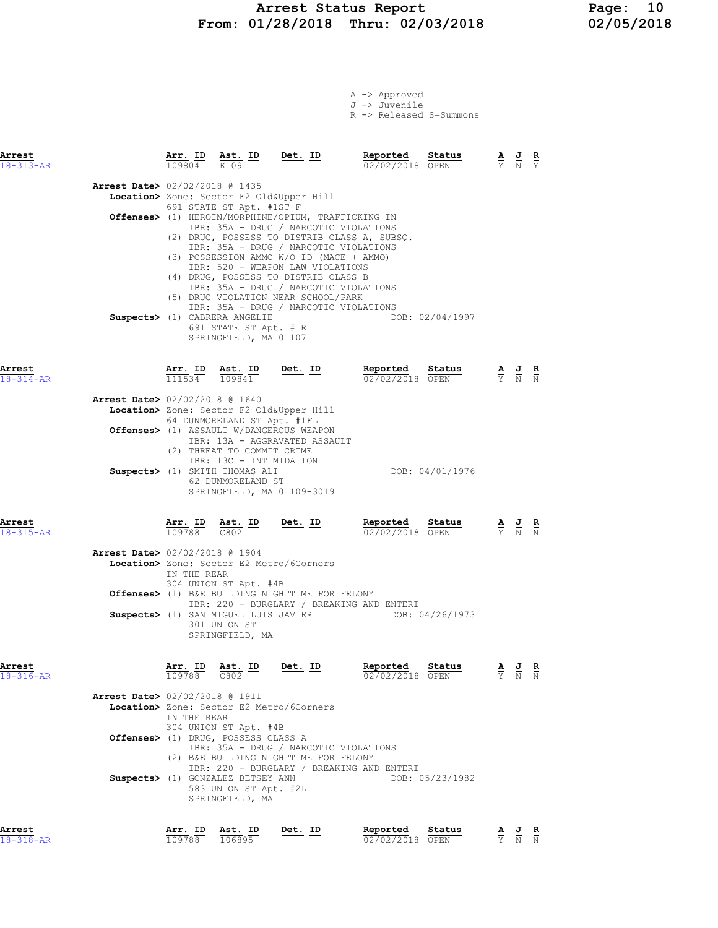# Arrest Status Report Page: 10 From: 01/28/2018 Thru: 02/03/2018

A -> Approved J -> Juvenile

R -> Released S=Summons

| Arrest<br>$18 - 313 - AR$ |                                          | Arr. ID<br>109804 | Ast. ID<br>K109                                                                                                                               | <u>Det. ID</u>                                                                                                                                                                                                                                                                                                                                                                                                                     | Reported<br>02/02/2018 OPEN                  | Status          |                                                                                                 | $\frac{\mathbf{A}}{\mathbf{Y}}$ $\frac{\mathbf{J}}{\mathbf{N}}$                                 | $rac{\mathbf{R}}{\mathbf{Y}}$ |
|---------------------------|------------------------------------------|-------------------|-----------------------------------------------------------------------------------------------------------------------------------------------|------------------------------------------------------------------------------------------------------------------------------------------------------------------------------------------------------------------------------------------------------------------------------------------------------------------------------------------------------------------------------------------------------------------------------------|----------------------------------------------|-----------------|-------------------------------------------------------------------------------------------------|-------------------------------------------------------------------------------------------------|-------------------------------|
|                           | Arrest Date> 02/02/2018 @ 1435           |                   | 691 STATE ST Apt. #1ST F<br>Suspects> (1) CABRERA ANGELIE<br>691 STATE ST Apt. #1R<br>SPRINGFIELD, MA 01107                                   | Location> Zone: Sector F2 Old&Upper Hill<br>Offenses> (1) HEROIN/MORPHINE/OPIUM, TRAFFICKING IN<br>IBR: 35A - DRUG / NARCOTIC VIOLATIONS<br>IBR: 35A - DRUG / NARCOTIC VIOLATIONS<br>(3) POSSESSION AMMO W/O ID (MACE + AMMO)<br>IBR: 520 - WEAPON LAW VIOLATIONS<br>(4) DRUG, POSSESS TO DISTRIB CLASS B<br>IBR: 35A - DRUG / NARCOTIC VIOLATIONS<br>(5) DRUG VIOLATION NEAR SCHOOL/PARK<br>IBR: 35A - DRUG / NARCOTIC VIOLATIONS | (2) DRUG, POSSESS TO DISTRIB CLASS A, SUBSQ. | DOB: 02/04/1997 |                                                                                                 |                                                                                                 |                               |
| Arrest<br>$18 - 314 - AR$ |                                          |                   |                                                                                                                                               | $\frac{\texttt{Arr. ID}}{111534}$ $\frac{\texttt{ Ast. ID}}{109841}$ Det. ID                                                                                                                                                                                                                                                                                                                                                       | Reported Status<br>$02/02/2018$ OPEN         |                 |                                                                                                 | $\frac{\mathbf{A}}{\mathbf{Y}}$ $\frac{\mathbf{J}}{\mathbf{N}}$ $\frac{\mathbf{R}}{\mathbf{N}}$ |                               |
|                           | <b>Arrest Date&gt;</b> 02/02/2018 @ 1640 |                   | 64 DUNMORELAND ST Apt. #1FL<br>(2) THREAT TO COMMIT CRIME<br>IBR: 13C - INTIMIDATION<br>Suspects> (1) SMITH THOMAS ALI                        | Location> Zone: Sector F2 Old&Upper Hill<br>Offenses> (1) ASSAULT W/DANGEROUS WEAPON<br>IBR: 13A - AGGRAVATED ASSAULT                                                                                                                                                                                                                                                                                                              | DOB: 04/01/1976                              |                 |                                                                                                 |                                                                                                 |                               |
|                           |                                          |                   | 62 DUNMORELAND ST                                                                                                                             | SPRINGFIELD, MA 01109-3019                                                                                                                                                                                                                                                                                                                                                                                                         |                                              |                 |                                                                                                 |                                                                                                 |                               |
| Arrest<br>$18 - 315 - AR$ | Arrest Date> 02/02/2018 @ 1904           |                   |                                                                                                                                               | $\frac{\texttt{Arr. ID}}{109788}$ $\frac{\texttt{ Ast. ID}}{C802}$ $\frac{\texttt{ID}}{C802}$ $\frac{\texttt{Det. ID}}{C802}$<br>Location> Zone: Sector E2 Metro/6Corners                                                                                                                                                                                                                                                          | Reported<br>02/02/2018 OPEN                  | Status          | $\frac{\mathbf{A}}{\mathbf{Y}}$ $\frac{\mathbf{J}}{\mathbf{N}}$ $\frac{\mathbf{R}}{\mathbf{N}}$ |                                                                                                 |                               |
|                           |                                          | IN THE REAR       | 304 UNION ST Apt. #4B<br>301 UNION ST<br>SPRINGFIELD, MA                                                                                      | <b>Offenses&gt;</b> (1) B&E BUILDING NIGHTTIME FOR FELONY<br>Suspects> (1) SAN MIGUEL LUIS JAVIER                                                                                                                                                                                                                                                                                                                                  | IBR: 220 - BURGLARY / BREAKING AND ENTERI    | DOB: 04/26/1973 |                                                                                                 |                                                                                                 |                               |
| Arrest<br>$18 - 316 - AR$ |                                          | Arr. ID<br>109788 | Ast. ID<br>C802                                                                                                                               | $\underline{\text{ID}}$ $\underline{\text{Det.}}$ $\underline{\text{ID}}$                                                                                                                                                                                                                                                                                                                                                          | Reported<br>02/02/2018 OPEN                  | Status          | A<br>$\overline{\textbf{Y}}$                                                                    | J<br>$\overline{\text{N}}$                                                                      | $\frac{\mathbf{R}}{N}$        |
|                           | Arrest Date> 02/02/2018 @ 1911           | IN THE REAR       | 304 UNION ST Apt. #4B<br>Offenses> (1) DRUG, POSSESS CLASS A<br>Suspects> (1) GONZALEZ BETSEY ANN<br>583 UNION ST Apt. #2L<br>SPRINGFIELD, MA | Location> Zone: Sector E2 Metro/6Corners<br>IBR: 35A - DRUG / NARCOTIC VIOLATIONS<br>(2) B&E BUILDING NIGHTTIME FOR FELONY                                                                                                                                                                                                                                                                                                         | IBR: 220 - BURGLARY / BREAKING AND ENTERI    | DOB: 05/23/1982 |                                                                                                 |                                                                                                 |                               |
|                           |                                          |                   |                                                                                                                                               |                                                                                                                                                                                                                                                                                                                                                                                                                                    |                                              |                 |                                                                                                 |                                                                                                 |                               |

Arrest Arr. ID Ast. ID Det. ID Reported Status A J R 18-318-AR 109788 106895 02/02/2018 OPEN Y N N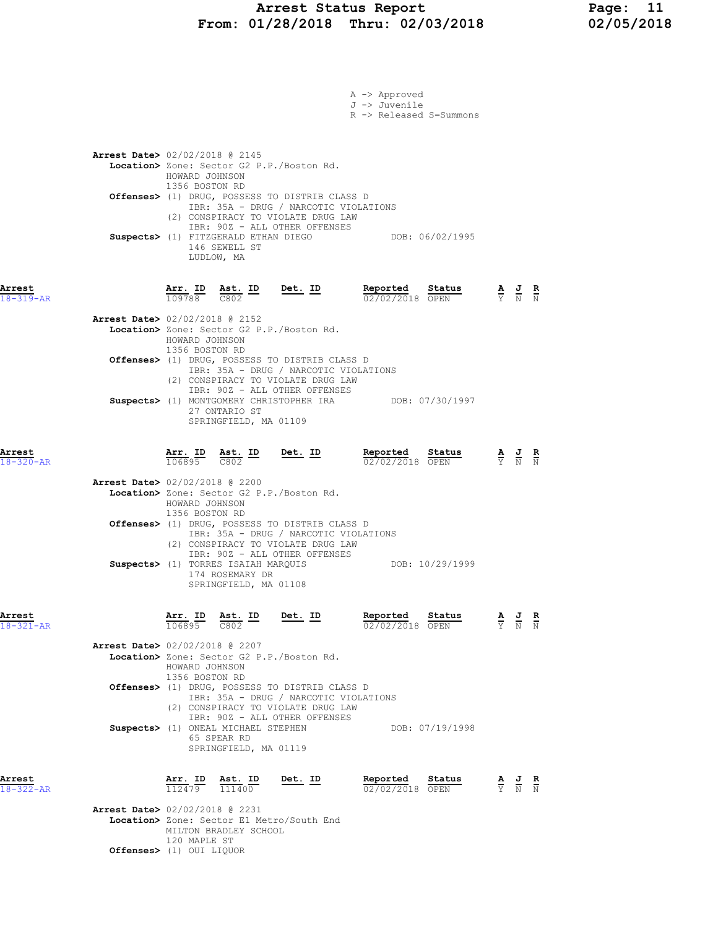|                           |                                          |                                  |                                                                         |                                                                                                                                                                | A -> Approved<br>J -> Juvenile<br>R -> Released S=Summons |                                                                                                 |                                                                                                 |  |
|---------------------------|------------------------------------------|----------------------------------|-------------------------------------------------------------------------|----------------------------------------------------------------------------------------------------------------------------------------------------------------|-----------------------------------------------------------|-------------------------------------------------------------------------------------------------|-------------------------------------------------------------------------------------------------|--|
|                           | Arrest Date> 02/02/2018 @ 2145           | HOWARD JOHNSON<br>1356 BOSTON RD |                                                                         | Location> Zone: Sector G2 P.P./Boston Rd.<br>Offenses> (1) DRUG, POSSESS TO DISTRIB CLASS D                                                                    |                                                           |                                                                                                 |                                                                                                 |  |
|                           |                                          |                                  | 146 SEWELL ST<br>LUDLOW, MA                                             | IBR: 35A - DRUG / NARCOTIC VIOLATIONS<br>(2) CONSPIRACY TO VIOLATE DRUG LAW<br>IBR: 90Z - ALL OTHER OFFENSES<br>Suspects> (1) FITZGERALD ETHAN DIEGO           | DOB: 06/02/1995                                           |                                                                                                 |                                                                                                 |  |
| Arrest<br>18-319-AR       |                                          | $\frac{\texttt{Arr.}}{109788}$   |                                                                         | $\frac{\texttt{Ast.}}{\texttt{C802}}$ ID Det. ID                                                                                                               | Reported Status<br>02/02/2018 OPEN                        |                                                                                                 | $\frac{\mathbf{A}}{\mathbf{Y}}$ $\frac{\mathbf{J}}{\mathbf{N}}$ $\frac{\mathbf{R}}{\mathbf{N}}$ |  |
|                           | Arrest Date> 02/02/2018 @ 2152           | HOWARD JOHNSON<br>1356 BOSTON RD |                                                                         | Location> Zone: Sector G2 P.P./Boston Rd.                                                                                                                      |                                                           |                                                                                                 |                                                                                                 |  |
|                           |                                          |                                  |                                                                         | Offenses> (1) DRUG, POSSESS TO DISTRIB CLASS D<br>IBR: 35A - DRUG / NARCOTIC VIOLATIONS<br>(2) CONSPIRACY TO VIOLATE DRUG LAW<br>IBR: 90Z - ALL OTHER OFFENSES |                                                           |                                                                                                 |                                                                                                 |  |
|                           |                                          |                                  | 27 ONTARIO ST<br>SPRINGFIELD, MA 01109                                  |                                                                                                                                                                | Suspects> (1) MONTGOMERY CHRISTOPHER IRA DOB: 07/30/1997  |                                                                                                 |                                                                                                 |  |
| Arrest<br>$18 - 320 - AR$ |                                          | $\frac{\texttt{Arr.}}{106895}$   | $\frac{\text{Ast.}}{\cos \theta}$ $\frac{\text{ID}}{\text{C8}}$<br>C802 | $Det. ID$                                                                                                                                                      | Reported<br>Status<br>02/02/2018 OPEN                     | $\frac{\mathbf{A}}{\mathbf{Y}}$ $\frac{\mathbf{J}}{\mathbf{N}}$                                 |                                                                                                 |  |
|                           | <b>Arrest Date&gt;</b> 02/02/2018 @ 2200 | HOWARD JOHNSON<br>1356 BOSTON RD |                                                                         | Location> Zone: Sector G2 P.P./Boston Rd.                                                                                                                      |                                                           |                                                                                                 |                                                                                                 |  |
|                           |                                          |                                  | Suspects> (1) TORRES ISAIAH MARQUIS                                     | Offenses> (1) DRUG, POSSESS TO DISTRIB CLASS D<br>IBR: 35A - DRUG / NARCOTIC VIOLATIONS<br>(2) CONSPIRACY TO VIOLATE DRUG LAW<br>IBR: 90Z - ALL OTHER OFFENSES | DOB: 10/29/1999                                           |                                                                                                 |                                                                                                 |  |
|                           |                                          |                                  | 174 ROSEMARY DR<br>SPRINGFIELD, MA 01108                                |                                                                                                                                                                |                                                           |                                                                                                 |                                                                                                 |  |
| Arrest<br>$18 - 321 - AR$ | <b>Arrest Date&gt;</b> 02/02/2018 @ 2207 | Arr. ID<br>106895 C802           | Ast. ID                                                                 | Det. ID                                                                                                                                                        | Reported<br>Status<br>02/02/2018 OPEN                     | $\frac{\mathbf{A}}{\mathbf{Y}}$ $\frac{\mathbf{J}}{\mathbf{N}}$ $\frac{\mathbf{R}}{\mathbf{N}}$ |                                                                                                 |  |
|                           |                                          | HOWARD JOHNSON<br>1356 BOSTON RD |                                                                         | Location> Zone: Sector G2 P.P./Boston Rd.<br>Offenses> (1) DRUG, POSSESS TO DISTRIB CLASS D                                                                    |                                                           |                                                                                                 |                                                                                                 |  |
|                           |                                          |                                  | Suspects> (1) ONEAL MICHAEL STEPHEN                                     | IBR: 35A - DRUG / NARCOTIC VIOLATIONS<br>(2) CONSPIRACY TO VIOLATE DRUG LAW<br>IBR: 90Z - ALL OTHER OFFENSES                                                   | DOB: 07/19/1998                                           |                                                                                                 |                                                                                                 |  |
|                           |                                          |                                  | 65 SPEAR RD<br>SPRINGFIELD, MA 01119                                    |                                                                                                                                                                |                                                           |                                                                                                 |                                                                                                 |  |
| Arrest<br>$18 - 322 - AR$ |                                          | Arr. ID<br>112479                | Ast. ID<br>111400                                                       | <u>Det. ID</u>                                                                                                                                                 | Reported<br>Status<br>02/02/2018 OPEN                     |                                                                                                 | $\frac{\mathbf{A}}{\mathbf{Y}}$ $\frac{\mathbf{J}}{\mathbf{N}}$ $\frac{\mathbf{R}}{\mathbf{N}}$ |  |
|                           | Arrest Date> 02/02/2018 @ 2231           | 120 MAPLE ST                     | MILTON BRADLEY SCHOOL                                                   | Location> Zone: Sector E1 Metro/South End                                                                                                                      |                                                           |                                                                                                 |                                                                                                 |  |
|                           | Offenses> (1) OUI LIQUOR                 |                                  |                                                                         |                                                                                                                                                                |                                                           |                                                                                                 |                                                                                                 |  |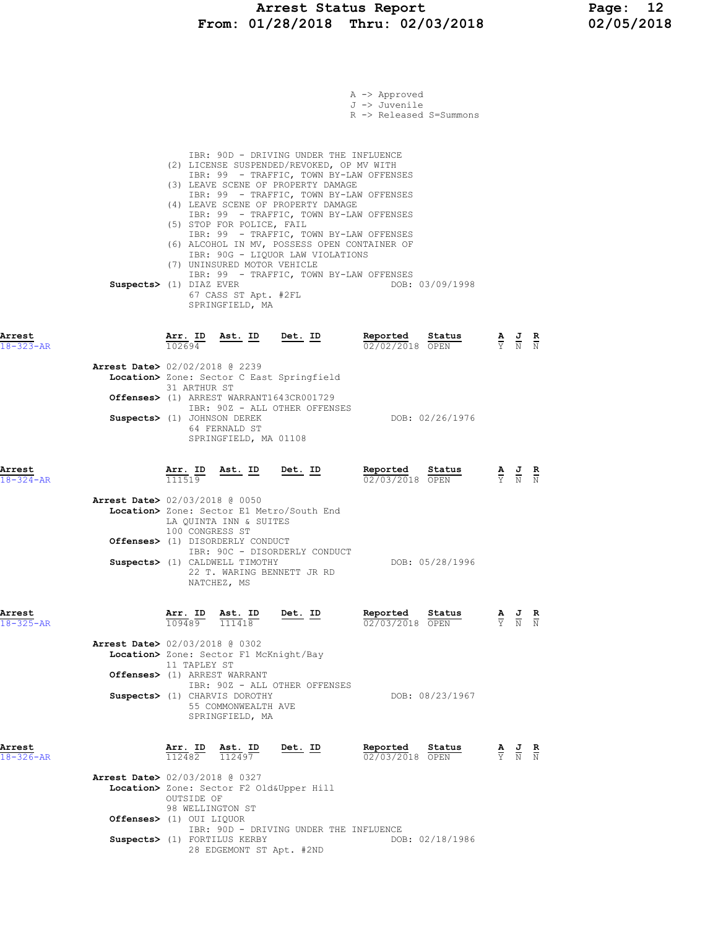# Arrest Status Report Page: 12 From: 01/28/2018 Thru: 02/03/2018 02/05/2018

|                           |                                                                          |                                |                                                                                                             |                                                                                                                                                                                                                                                                                                                                                                                                                                                                            | A -> Approved<br>J -> Juvenile<br>R -> Released S=Summons             |        |                                                                                                       |  |
|---------------------------|--------------------------------------------------------------------------|--------------------------------|-------------------------------------------------------------------------------------------------------------|----------------------------------------------------------------------------------------------------------------------------------------------------------------------------------------------------------------------------------------------------------------------------------------------------------------------------------------------------------------------------------------------------------------------------------------------------------------------------|-----------------------------------------------------------------------|--------|-------------------------------------------------------------------------------------------------------|--|
|                           | Suspects> (1) DIAZ EVER                                                  |                                | (5) STOP FOR POLICE, FAIL<br>(7) UNINSURED MOTOR VEHICLE<br>67 CASS ST Apt. #2FL<br>SPRINGFIELD, MA         | IBR: 90D - DRIVING UNDER THE INFLUENCE<br>(2) LICENSE SUSPENDED/REVOKED, OP MV WITH<br>IBR: 99 - TRAFFIC, TOWN BY-LAW OFFENSES<br>(3) LEAVE SCENE OF PROPERTY DAMAGE<br>IBR: 99 - TRAFFIC, TOWN BY-LAW OFFENSES<br>(4) LEAVE SCENE OF PROPERTY DAMAGE<br>IBR: 99 - TRAFFIC, TOWN BY-LAW OFFENSES<br>IBR: 99 - TRAFFIC, TOWN BY-LAW OFFENSES<br>(6) ALCOHOL IN MV, POSSESS OPEN CONTAINER OF<br>IBR: 90G - LIQUOR LAW VIOLATIONS<br>IBR: 99 - TRAFFIC, TOWN BY-LAW OFFENSES | DOB: 03/09/1998                                                       |        |                                                                                                       |  |
| Arrest<br>$18 - 323 - AR$ |                                                                          | Arr. ID<br>102694              | Ast. ID                                                                                                     | Det. ID                                                                                                                                                                                                                                                                                                                                                                                                                                                                    | Reported<br>02/02/2018 OPEN                                           | Status | $\frac{\mathbf{A}}{\mathbf{Y}}$ $\frac{\mathbf{J}}{\mathbf{N}}$ $\frac{\mathbf{R}}{\mathbf{N}}$       |  |
|                           | <b>Arrest Date&gt;</b> 02/02/2018 @ 2239                                 | 31 ARTHUR ST                   | Offenses> (1) ARREST WARRANT1643CR001729                                                                    | Location> Zone: Sector C East Springfield                                                                                                                                                                                                                                                                                                                                                                                                                                  |                                                                       |        |                                                                                                       |  |
|                           | Suspects> (1) JOHNSON DEREK                                              |                                | 64 FERNALD ST<br>SPRINGFIELD, MA 01108                                                                      | IBR: 90Z - ALL OTHER OFFENSES                                                                                                                                                                                                                                                                                                                                                                                                                                              | DOB: 02/26/1976                                                       |        |                                                                                                       |  |
| Arrest<br>$18 - 324 - AR$ | <b>Arrest Date&gt;</b> 02/03/2018 @ 0050                                 | Arr. ID<br>111519              | <u>Ast. ID</u>                                                                                              | Det. ID                                                                                                                                                                                                                                                                                                                                                                                                                                                                    | Reported<br>02/03/2018 OPEN                                           | Status | $\frac{\mathbf{A}}{\overline{Y}}$ $\frac{\mathbf{J}}{\overline{N}}$ $\frac{\mathbf{R}}{\overline{N}}$ |  |
|                           |                                                                          | 100 CONGRESS ST                | LA QUINTA INN & SUITES<br>Offenses> (1) DISORDERLY CONDUCT<br>Suspects> (1) CALDWELL TIMOTHY<br>NATCHEZ, MS | Location> Zone: Sector E1 Metro/South End<br>IBR: 90C - DISORDERLY CONDUCT<br>22 T. WARING BENNETT JR RD                                                                                                                                                                                                                                                                                                                                                                   | DOB: 05/28/1996                                                       |        |                                                                                                       |  |
| Arrest<br>$18 - 325 - AR$ |                                                                          | Arr. ID As. $\frac{1}{111418}$ | Ast. ID                                                                                                     | Det. ID                                                                                                                                                                                                                                                                                                                                                                                                                                                                    | <b>Reported Status A J R</b> 02/03/2018 OPEN $\frac{1}{Y}$ <b>A N</b> |        |                                                                                                       |  |
|                           | <b>Arrest Date&gt;</b> 02/03/2018 @ 0302<br>Offenses> (1) ARREST WARRANT | 11 TAPLEY ST                   | Location> Zone: Sector F1 McKnight/Bay                                                                      | IBR: 90Z - ALL OTHER OFFENSES                                                                                                                                                                                                                                                                                                                                                                                                                                              |                                                                       |        |                                                                                                       |  |
|                           |                                                                          |                                | Suspects> (1) CHARVIS DOROTHY<br>55 COMMONWEALTH AVE<br>SPRINGFIELD, MA                                     |                                                                                                                                                                                                                                                                                                                                                                                                                                                                            | DOB: 08/23/1967                                                       |        |                                                                                                       |  |
| Arrest<br>$18 - 326 - AR$ |                                                                          |                                | $\frac{\texttt{Arr.}}{112482}$ $\frac{\texttt{Ab.}}{112497}$                                                | <u>Det. ID</u>                                                                                                                                                                                                                                                                                                                                                                                                                                                             | Reported<br>$02/03/2018$ OPEN                                         | Status | $\frac{\mathbf{A}}{\mathbf{Y}}$ $\frac{\mathbf{J}}{\mathbf{N}}$ $\frac{\mathbf{R}}{\mathbf{N}}$       |  |
|                           | <b>Arrest Date&gt; 02/03/2018 @ 0327</b>                                 | OUTSIDE OF<br>98 WELLINGTON ST | Location> Zone: Sector F2 Old&Upper Hill                                                                    |                                                                                                                                                                                                                                                                                                                                                                                                                                                                            |                                                                       |        |                                                                                                       |  |
|                           | Offenses> (1) OUI LIQUOR                                                 |                                | Suspects> (1) FORTILUS KERBY<br>28 EDGEMONT ST Apt. #2ND                                                    | IBR: 90D - DRIVING UNDER THE INFLUENCE                                                                                                                                                                                                                                                                                                                                                                                                                                     | DOB: 02/18/1986                                                       |        |                                                                                                       |  |
|                           |                                                                          |                                |                                                                                                             |                                                                                                                                                                                                                                                                                                                                                                                                                                                                            |                                                                       |        |                                                                                                       |  |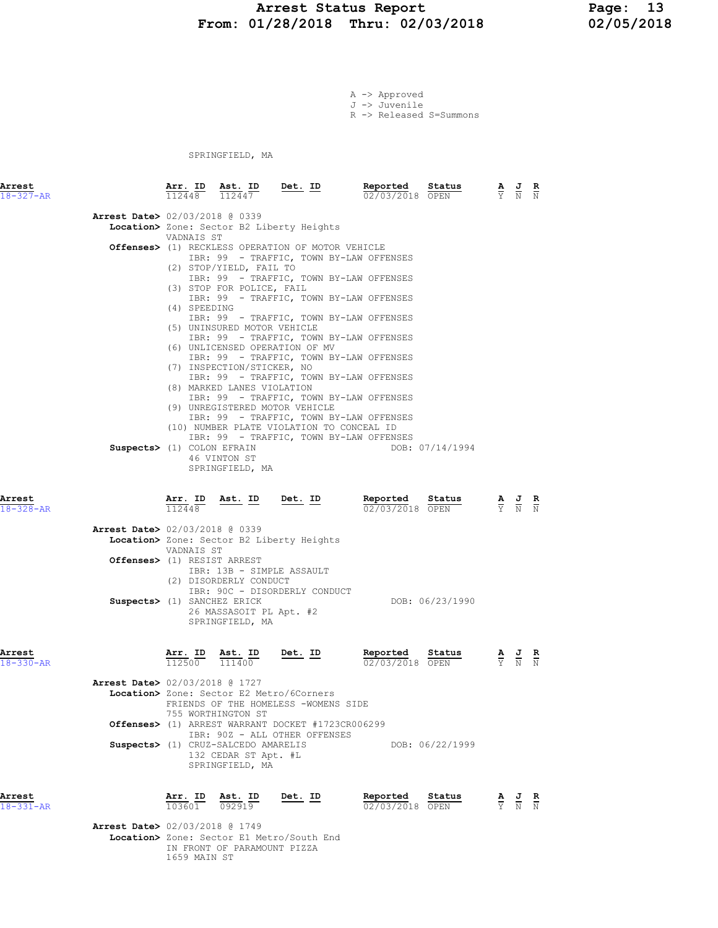# Arrest Status Report Page: 13 From: 01/28/2018 Thru: 02/03/2018

A -> Approved J -> Juvenile R -> Released S=Summons

SPRINGFIELD, MA

| Arrest<br>$18 - 327 - AR$                                   | Arr. ID<br>112448                                          | $\underbrace{\texttt{Ast.}}_{11014}$ ID Det. ID<br>112447                                                                                                                          |                                                                                                                                                                              | Reported<br>02/03/2018 OPEN                                                                                                                                                                                                                                                                                                                                                                                                                | Status          | $\frac{\mathbf{A}}{\mathbf{Y}}$ $\frac{\mathbf{J}}{\mathbf{N}}$ $\frac{\mathbf{R}}{\mathbf{N}}$ |  |
|-------------------------------------------------------------|------------------------------------------------------------|------------------------------------------------------------------------------------------------------------------------------------------------------------------------------------|------------------------------------------------------------------------------------------------------------------------------------------------------------------------------|--------------------------------------------------------------------------------------------------------------------------------------------------------------------------------------------------------------------------------------------------------------------------------------------------------------------------------------------------------------------------------------------------------------------------------------------|-----------------|-------------------------------------------------------------------------------------------------|--|
| <b>Arrest Date&gt;</b> 02/03/2018 @ 0339                    |                                                            |                                                                                                                                                                                    |                                                                                                                                                                              |                                                                                                                                                                                                                                                                                                                                                                                                                                            |                 |                                                                                                 |  |
|                                                             |                                                            |                                                                                                                                                                                    | Location> Zone: Sector B2 Liberty Heights                                                                                                                                    |                                                                                                                                                                                                                                                                                                                                                                                                                                            |                 |                                                                                                 |  |
|                                                             | VADNAIS ST<br>(4) SPEEDING<br>Suspects> (1) COLON EFRAIN   | (2) STOP/YIELD, FAIL TO<br>(3) STOP FOR POLICE, FAIL<br>(5) UNINSURED MOTOR VEHICLE<br>(7) INSPECTION/STICKER, NO<br>(8) MARKED LANES VIOLATION<br>46 VINTON ST<br>SPRINGFIELD, MA | <b>Offenses&gt;</b> (1) RECKLESS OPERATION OF MOTOR VEHICLE<br>(6) UNLICENSED OPERATION OF MV<br>(9) UNREGISTERED MOTOR VEHICLE<br>(10) NUMBER PLATE VIOLATION TO CONCEAL ID | IBR: 99 - TRAFFIC, TOWN BY-LAW OFFENSES<br>IBR: 99 - TRAFFIC, TOWN BY-LAW OFFENSES<br>IBR: 99 - TRAFFIC, TOWN BY-LAW OFFENSES<br>IBR: 99 - TRAFFIC, TOWN BY-LAW OFFENSES<br>IBR: 99 - TRAFFIC, TOWN BY-LAW OFFENSES<br>IBR: 99 - TRAFFIC, TOWN BY-LAW OFFENSES<br>IBR: 99 - TRAFFIC, TOWN BY-LAW OFFENSES<br>IBR: 99 - TRAFFIC, TOWN BY-LAW OFFENSES<br>IBR: 99 - TRAFFIC, TOWN BY-LAW OFFENSES<br>IBR: 99 - TRAFFIC, TOWN BY-LAW OFFENSES | DOB: 07/14/1994 |                                                                                                 |  |
| Arrest<br>$18 - 328 - AR$                                   | 112448                                                     |                                                                                                                                                                                    | $\frac{\texttt{Arr.}}{11044}$ $\frac{\texttt{ID}}{0}$ $\frac{\texttt{Ast.}}{0}$ $\frac{\texttt{ID}}{0}$ $\frac{\texttt{Det.}}{0}$                                            | Reported Status<br>02/03/2018 OPEN                                                                                                                                                                                                                                                                                                                                                                                                         |                 | $\frac{\mathbf{A}}{\mathbf{Y}}$ $\frac{\mathbf{J}}{\mathbf{N}}$ $\frac{\mathbf{R}}{\mathbf{N}}$ |  |
| <b>Arrest Date&gt;</b> 02/03/2018 @ 0339                    |                                                            |                                                                                                                                                                                    |                                                                                                                                                                              |                                                                                                                                                                                                                                                                                                                                                                                                                                            |                 |                                                                                                 |  |
|                                                             | VADNAIS ST                                                 |                                                                                                                                                                                    | Location> Zone: Sector B2 Liberty Heights                                                                                                                                    |                                                                                                                                                                                                                                                                                                                                                                                                                                            |                 |                                                                                                 |  |
|                                                             | Offenses> (1) RESIST ARREST<br>Suspects> (1) SANCHEZ ERICK | IBR: 13B - SIMPLE ASSAULT<br>(2) DISORDERLY CONDUCT<br>26 MASSASOIT PL Apt. #2<br>SPRINGFIELD, MA                                                                                  | IBR: 90C - DISORDERLY CONDUCT                                                                                                                                                |                                                                                                                                                                                                                                                                                                                                                                                                                                            | DOB: 06/23/1990 |                                                                                                 |  |
| Arrest<br>$18 - 330 - AR$<br>Arrest Date> 02/03/2018 @ 1727 | $\frac{\texttt{Arr.}}{112500}$                             | $\frac{\texttt{Ast.}}{111400}$                                                                                                                                                     | <u>Det.</u> ID                                                                                                                                                               | Reported<br>02/03/2018 OPEN                                                                                                                                                                                                                                                                                                                                                                                                                | Status          | $\frac{\mathbf{A}}{\mathbf{Y}}$ $\frac{\mathbf{J}}{\mathbf{N}}$ $\frac{\mathbf{R}}{\mathbf{N}}$ |  |
|                                                             |                                                            |                                                                                                                                                                                    | Tegetian Zono: Cootox EQ Motro (CConnova                                                                                                                                     |                                                                                                                                                                                                                                                                                                                                                                                                                                            |                 |                                                                                                 |  |

Location> Zone: Sector E2 Metro/6Corners FRIENDS OF THE HOMELESS -WOMENS SIDE 755 WORTHINGTON ST Offenses> (1) ARREST WARRANT DOCKET #1723CR006299 IBR: 90Z - ALL OTHER OFFENSES Suspects> (1) CRUZ-SALCEDO AMARELIS DOB: 06/22/1999 132 CEDAR ST Apt. #L SPRINGFIELD, MA

Arrest Arr. ID Ast. ID Det. ID Reported Status A J R 18-331-AR 103601 092919 02/03/2018 OPEN Y N N

 Arrest Date> 02/03/2018 @ 1749 Location> Zone: Sector E1 Metro/South End IN FRONT OF PARAMOUNT PIZZA 1659 MAIN ST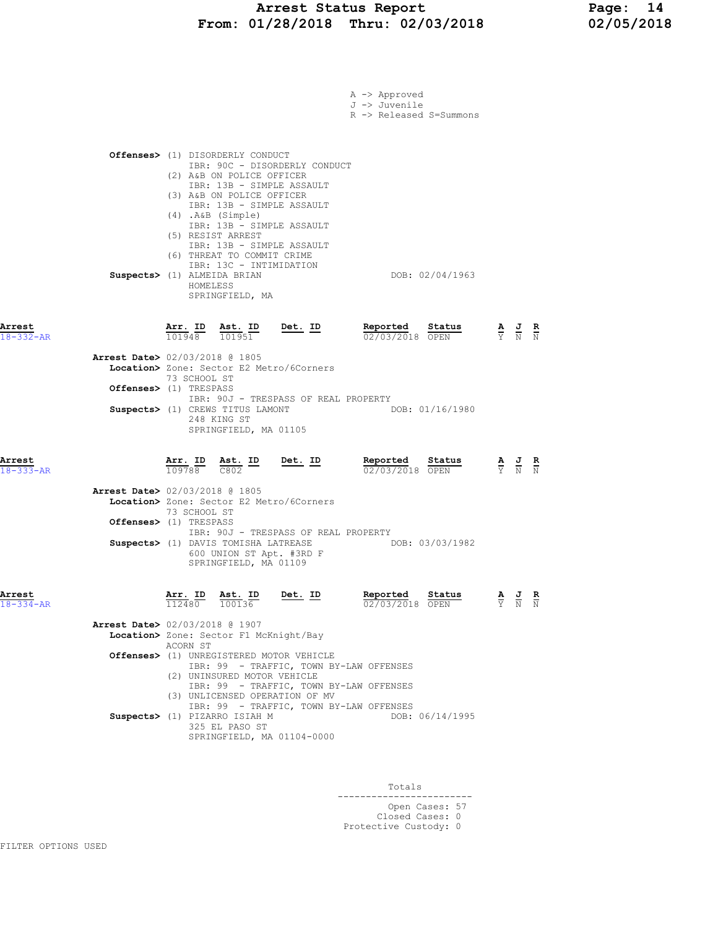|                           |                                                                                                                                                                                                                                                                                        |                                                                                    | A -> Approved<br>J -> Juvenile<br>R -> Released S=Summons                                                       |                                                                                                 |  |
|---------------------------|----------------------------------------------------------------------------------------------------------------------------------------------------------------------------------------------------------------------------------------------------------------------------------------|------------------------------------------------------------------------------------|-----------------------------------------------------------------------------------------------------------------|-------------------------------------------------------------------------------------------------|--|
|                           | <b>Offenses&gt;</b> (1) DISORDERLY CONDUCT<br>IBR: 90C - DISORDERLY CONDUCT<br>(2) A&B ON POLICE OFFICER<br>IBR: 13B - SIMPLE ASSAULT                                                                                                                                                  |                                                                                    |                                                                                                                 |                                                                                                 |  |
|                           | (3) A&B ON POLICE OFFICER<br>IBR: 13B - SIMPLE ASSAULT<br>$(4)$ . A&B $(Simple)$<br>IBR: 13B - SIMPLE ASSAULT<br>(5) RESIST ARREST<br>IBR: 13B - SIMPLE ASSAULT<br>(6) THREAT TO COMMIT CRIME<br>IBR: 13C - INTIMIDATION<br>Suspects> (1) ALMEIDA BRIAN<br>HOMELESS<br>SPRINGFIELD, MA |                                                                                    | DOB: 02/04/1963                                                                                                 |                                                                                                 |  |
| Arrest<br>$18 - 332 - AR$ | Arr. ID Ast. ID Det. ID<br>$\overline{101948}$ $\overline{101951}$                                                                                                                                                                                                                     |                                                                                    | Reported Status<br>02/03/2018 OPEN                                                                              | $\frac{\mathbf{A}}{\mathbf{Y}}$ $\frac{\mathbf{J}}{\mathbf{N}}$ $\frac{\mathbf{R}}{\mathbf{N}}$ |  |
|                           | Arrest Date> 02/03/2018 @ 1805<br>Location> Zone: Sector E2 Metro/6Corners<br>73 SCHOOL ST                                                                                                                                                                                             |                                                                                    |                                                                                                                 |                                                                                                 |  |
|                           | Offenses> (1) TRESPASS                                                                                                                                                                                                                                                                 | IBR: 90J - TRESPASS OF REAL PROPERTY                                               |                                                                                                                 |                                                                                                 |  |
|                           | 248 KING ST<br>SPRINGFIELD, MA 01105                                                                                                                                                                                                                                                   |                                                                                    | Suspects> (1) CREWS TITUS LAMONT DOB: 01/16/1980                                                                |                                                                                                 |  |
| Arrest<br>$18 - 333 - AR$ | Arr. ID Ast. ID<br>109788 C802<br>Arrest Date> 02/03/2018 @ 1805                                                                                                                                                                                                                       | $Det. ID$                                                                          | Reported<br>Status<br>02/03/2018 OPEN                                                                           | $\frac{\mathbf{A}}{\mathbf{Y}}$ $\frac{\mathbf{J}}{\mathbf{N}}$ $\frac{\mathbf{R}}{\mathbf{N}}$ |  |
|                           | Location> Zone: Sector E2 Metro/6Corners<br>73 SCHOOL ST                                                                                                                                                                                                                               |                                                                                    |                                                                                                                 |                                                                                                 |  |
|                           | Offenses> (1) TRESPASS                                                                                                                                                                                                                                                                 | IBR: 90J - TRESPASS OF REAL PROPERTY                                               |                                                                                                                 |                                                                                                 |  |
|                           | 600 UNION ST Apt. #3RD F<br>SPRINGFIELD, MA 01109                                                                                                                                                                                                                                      |                                                                                    | Suspects> (1) DAVIS TOMISHA LATREASE THE DOB: 03/03/1982                                                        |                                                                                                 |  |
| Arrest<br>$18 - 334 - AR$ | $\frac{\texttt{Arr.}}{112480}$ $\frac{\texttt{ Ast.}}{100136}$ $\frac{\texttt{Det.}}{6}$ ID                                                                                                                                                                                            |                                                                                    | <b>Reported Status A J R</b> $\frac{1}{02}/03/2018$ <b>OPEN F</b> $\frac{1}{Y}$ <b>E</b> $\frac{1}{N}$ <b>E</b> |                                                                                                 |  |
|                           | <b>Arrest Date&gt;</b> 02/03/2018 @ 1907<br>Location> Zone: Sector F1 McKnight/Bay                                                                                                                                                                                                     |                                                                                    |                                                                                                                 |                                                                                                 |  |
|                           | ACORN ST<br>Offenses> (1) UNREGISTERED MOTOR VEHICLE                                                                                                                                                                                                                                   | IBR: 99 - TRAFFIC, TOWN BY-LAW OFFENSES                                            |                                                                                                                 |                                                                                                 |  |
|                           | (2) UNINSURED MOTOR VEHICLE<br>(3) UNLICENSED OPERATION OF MV<br>Suspects> (1) PIZARRO ISIAH M                                                                                                                                                                                         | IBR: 99 - TRAFFIC, TOWN BY-LAW OFFENSES<br>IBR: 99 - TRAFFIC, TOWN BY-LAW OFFENSES | DOB: 06/14/1995                                                                                                 |                                                                                                 |  |
|                           | 325 EL PASO ST<br>SPRINGFIELD, MA 01104-0000                                                                                                                                                                                                                                           |                                                                                    |                                                                                                                 |                                                                                                 |  |
|                           |                                                                                                                                                                                                                                                                                        |                                                                                    |                                                                                                                 |                                                                                                 |  |

Totals<br>---------------------------------------------- Open Cases: 57 Closed Cases: 0 Protective Custody: 0